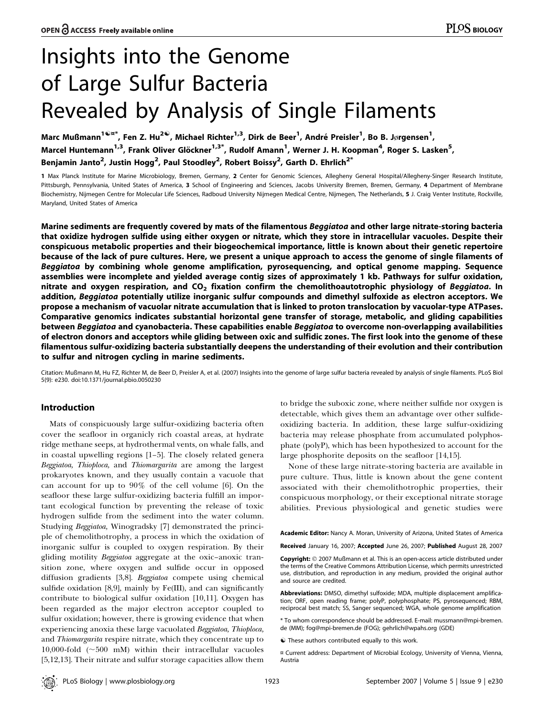# Insights into the Genome of Large Sulfur Bacteria Revealed by Analysis of Single Filaments

Marc Mußmann $^{1\,mathbb{Q}$ ¤\*, Fen Z. Hu $^{2\mathbb{Q}}$ , Michael Richter $^{1,3}$ , Dirk de Beer $^1$ , André Preisler $^1$ , Bo B. Jørgensen $^1$ , Marcel Huntemann<sup>1,3</sup>, Frank Oliver Glöckner<sup>1,3\*</sup>, Rudolf Amann<sup>1</sup>, Werner J. H. Koopman<sup>4</sup>, Roger S. Lasken<sup>5</sup>, Benjamin Janto $^2$ , Justin Hogg $^2$ , Paul Stoodley $^2$ , Robert Boissy $^2$ , Garth D. Ehrlich $^{2^\ast}$ 

1 Max Planck Institute for Marine Microbiology, Bremen, Germany, 2 Center for Genomic Sciences, Allegheny General Hospital/Allegheny-Singer Research Institute, Pittsburgh, Pennsylvania, United States of America, 3 School of Engineering and Sciences, Jacobs University Bremen, Bremen, Germany, 4 Department of Membrane Biochemistry, Nijmegen Centre for Molecular Life Sciences, Radboud University Nijmegen Medical Centre, Nijmegen, The Netherlands, 5 J. Craig Venter Institute, Rockville, Maryland, United States of America

Marine sediments are frequently covered by mats of the filamentous Beggiatoa and other large nitrate-storing bacteria that oxidize hydrogen sulfide using either oxygen or nitrate, which they store in intracellular vacuoles. Despite their conspicuous metabolic properties and their biogeochemical importance, little is known about their genetic repertoire because of the lack of pure cultures. Here, we present a unique approach to access the genome of single filaments of Beggiatoa by combining whole genome amplification, pyrosequencing, and optical genome mapping. Sequence assemblies were incomplete and yielded average contig sizes of approximately 1 kb. Pathways for sulfur oxidation, nitrate and oxygen respiration, and  $CO<sub>2</sub>$  fixation confirm the chemolithoautotrophic physiology of Beggiatoa. In addition, Beggiatoa potentially utilize inorganic sulfur compounds and dimethyl sulfoxide as electron acceptors. We propose a mechanism of vacuolar nitrate accumulation that is linked to proton translocation by vacuolar-type ATPases. Comparative genomics indicates substantial horizontal gene transfer of storage, metabolic, and gliding capabilities between Beggiatoa and cyanobacteria. These capabilities enable Beggiatoa to overcome non-overlapping availabilities of electron donors and acceptors while gliding between oxic and sulfidic zones. The first look into the genome of these filamentous sulfur-oxidizing bacteria substantially deepens the understanding of their evolution and their contribution to sulfur and nitrogen cycling in marine sediments.

Citation: Mußmann M, Hu FZ, Richter M, de Beer D, Preisler A, et al. (2007) Insights into the genome of large sulfur bacteria revealed by analysis of single filaments. PLoS Biol 5(9): e230. doi:10.1371/journal.pbio.0050230

# Introduction

Mats of conspicuously large sulfur-oxidizing bacteria often cover the seafloor in organicly rich coastal areas, at hydrate ridge methane seeps, at hydrothermal vents, on whale falls, and in coastal upwelling regions [1–5]. The closely related genera Beggiatoa, Thioploca, and Thiomargarita are among the largest prokaryotes known, and they usually contain a vacuole that can account for up to 90% of the cell volume [6]. On the seafloor these large sulfur-oxidizing bacteria fulfill an important ecological function by preventing the release of toxic hydrogen sulfide from the sediment into the water column. Studying Beggiatoa, Winogradsky [7] demonstrated the principle of chemolithotrophy, a process in which the oxidation of inorganic sulfur is coupled to oxygen respiration. By their gliding motility Beggiatoa aggregate at the oxic-anoxic transition zone, where oxygen and sulfide occur in opposed diffusion gradients [3,8]. Beggiatoa compete using chemical sulfide oxidation [8,9], mainly by Fe(III), and can significantly contribute to biological sulfur oxidation [10,11]. Oxygen has been regarded as the major electron acceptor coupled to sulfur oxidation; however, there is growing evidence that when experiencing anoxia these large vacuolated Beggiatoa, Thioploca, and Thiomargarita respire nitrate, which they concentrate up to 10,000-fold  $(\sim 500 \text{ mM})$  within their intracellular vacuoles [5,12,13]. Their nitrate and sulfur storage capacities allow them

to bridge the suboxic zone, where neither sulfide nor oxygen is detectable, which gives them an advantage over other sulfideoxidizing bacteria. In addition, these large sulfur-oxidizing bacteria may release phosphate from accumulated polyphosphate (polyP), which has been hypothesized to account for the large phosphorite deposits on the seafloor [14,15].

None of these large nitrate-storing bacteria are available in pure culture. Thus, little is known about the gene content associated with their chemolithotrophic properties, their conspicuous morphology, or their exceptional nitrate storage abilities. Previous physiological and genetic studies were

Academic Editor: Nancy A. Moran, University of Arizona, United States of America

Received January 16, 2007; Accepted June 26, 2007; Published August 28, 2007

Copyright: © 2007 Mußmann et al. This is an open-access article distributed under the terms of the Creative Commons Attribution License, which permits unrestricted use, distribution, and reproduction in any medium, provided the original author and source are credited.

Abbreviations: DMSO, dimethyl sulfoxide; MDA, multiple displacement amplification; ORF, open reading frame; polyP, polyphosphate; PS, pyrosequenced; RBM, reciprocal best match; SS, Sanger sequenced; WGA, whole genome amplification

\* To whom correspondence should be addressed. E-mail: mussmann@mpi-bremen. de (MM); fog@mpi-bremen.de (FOG); gehrlich@wpahs.org (GDE)

 $\bullet$  These authors contributed equally to this work.

¤ Current address: Department of Microbial Ecology, University of Vienna, Vienna, Austria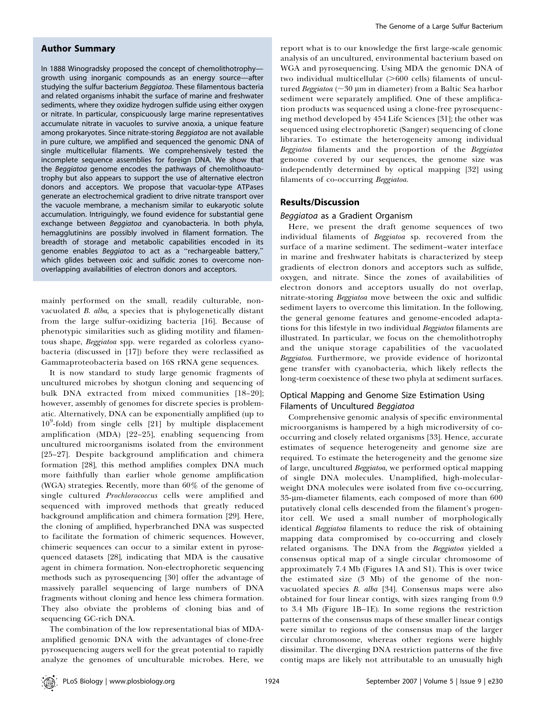# Author Summary

In 1888 Winogradsky proposed the concept of chemolithotrophy growth using inorganic compounds as an energy source—after studying the sulfur bacterium Beggiatoa. These filamentous bacteria and related organisms inhabit the surface of marine and freshwater sediments, where they oxidize hydrogen sulfide using either oxygen or nitrate. In particular, conspicuously large marine representatives accumulate nitrate in vacuoles to survive anoxia, a unique feature among prokaryotes. Since nitrate-storing Beggiatoa are not available in pure culture, we amplified and sequenced the genomic DNA of single multicellular filaments. We comprehensively tested the incomplete sequence assemblies for foreign DNA. We show that the Beggiatoa genome encodes the pathways of chemolithoautotrophy but also appears to support the use of alternative electron donors and acceptors. We propose that vacuolar-type ATPases generate an electrochemical gradient to drive nitrate transport over the vacuole membrane, a mechanism similar to eukaryotic solute accumulation. Intriguingly, we found evidence for substantial gene exchange between Beggiatoa and cyanobacteria. In both phyla, hemagglutinins are possibly involved in filament formation. The breadth of storage and metabolic capabilities encoded in its genome enables Beggiatoa to act as a "rechargeable battery," which glides between oxic and sulfidic zones to overcome nonoverlapping availabilities of electron donors and acceptors.

mainly performed on the small, readily culturable, nonvacuolated B. alba, a species that is phylogenetically distant from the large sulfur-oxidizing bacteria [16]. Because of phenotypic similarities such as gliding motility and filamentous shape, Beggiatoa spp. were regarded as colorless cyanobacteria (discussed in [17]) before they were reclassified as Gammaproteobacteria based on 16S rRNA gene sequences.

It is now standard to study large genomic fragments of uncultured microbes by shotgun cloning and sequencing of bulk DNA extracted from mixed communities [18–20]; however, assembly of genomes for discrete species is problematic. Alternatively, DNA can be exponentially amplified (up to  $10^9$ -fold) from single cells [21] by multiple displacement amplification (MDA) [22–25], enabling sequencing from uncultured microorganisms isolated from the environment [25–27]. Despite background amplification and chimera formation [28], this method amplifies complex DNA much more faithfully than earlier whole genome amplification (WGA) strategies. Recently, more than 60% of the genome of single cultured Prochlorococcus cells were amplified and sequenced with improved methods that greatly reduced background amplification and chimera formation [29]. Here, the cloning of amplified, hyperbranched DNA was suspected to facilitate the formation of chimeric sequences. However, chimeric sequences can occur to a similar extent in pyrosequenced datasets [28], indicating that MDA is the causative agent in chimera formation. Non-electrophoretic sequencing methods such as pyrosequencing [30] offer the advantage of massively parallel sequencing of large numbers of DNA fragments without cloning and hence less chimera formation. They also obviate the problems of cloning bias and of sequencing GC-rich DNA.

The combination of the low representational bias of MDAamplified genomic DNA with the advantages of clone-free pyrosequencing augers well for the great potential to rapidly analyze the genomes of unculturable microbes. Here, we

report what is to our knowledge the first large-scale genomic analysis of an uncultured, environmental bacterium based on WGA and pyrosequencing. Using MDA the genomic DNA of two individual multicellular  $(>600$  cells) filaments of uncultured Beggiatoa ( $\sim$ 30 µm in diameter) from a Baltic Sea harbor sediment were separately amplified. One of these amplification products was sequenced using a clone-free pyrosequencing method developed by 454 Life Sciences [31]; the other was sequenced using electrophoretic (Sanger) sequencing of clone libraries. To estimate the heterogeneity among individual Beggiatoa filaments and the proportion of the Beggiatoa genome covered by our sequences, the genome size was independently determined by optical mapping [32] using filaments of co-occurring Beggiatoa.

# Results/Discussion

# Beggiatoa as a Gradient Organism

Here, we present the draft genome sequences of two individual filaments of Beggiatoa sp. recovered from the surface of a marine sediment. The sediment–water interface in marine and freshwater habitats is characterized by steep gradients of electron donors and acceptors such as sulfide, oxygen, and nitrate. Since the zones of availabilities of electron donors and acceptors usually do not overlap, nitrate-storing Beggiatoa move between the oxic and sulfidic sediment layers to overcome this limitation. In the following, the general genome features and genome-encoded adaptations for this lifestyle in two individual Beggiatoa filaments are illustrated. In particular, we focus on the chemolithotrophy and the unique storage capabilities of the vacuolated Beggiatoa. Furthermore, we provide evidence of horizontal gene transfer with cyanobacteria, which likely reflects the long-term coexistence of these two phyla at sediment surfaces.

# Optical Mapping and Genome Size Estimation Using Filaments of Uncultured Beggiatoa

Comprehensive genomic analysis of specific environmental microorganisms is hampered by a high microdiversity of cooccurring and closely related organisms [33]. Hence, accurate estimates of sequence heterogeneity and genome size are required. To estimate the heterogeneity and the genome size of large, uncultured Beggiatoa, we performed optical mapping of single DNA molecules. Unamplified, high-molecularweight DNA molecules were isolated from five co-occurring, 35-lm-diameter filaments, each composed of more than 600 putatively clonal cells descended from the filament's progenitor cell. We used a small number of morphologically identical Beggiatoa filaments to reduce the risk of obtaining mapping data compromised by co-occurring and closely related organisms. The DNA from the Beggiatoa yielded a consensus optical map of a single circular chromosome of approximately 7.4 Mb (Figures 1A and S1). This is over twice the estimated size (3 Mb) of the genome of the nonvacuolated species B. alba [34]. Consensus maps were also obtained for four linear contigs, with sizes ranging from 0.9 to 3.4 Mb (Figure 1B–1E). In some regions the restriction patterns of the consensus maps of these smaller linear contigs were similar to regions of the consensus map of the larger circular chromosome, whereas other regions were highly dissimilar. The diverging DNA restriction patterns of the five contig maps are likely not attributable to an unusually high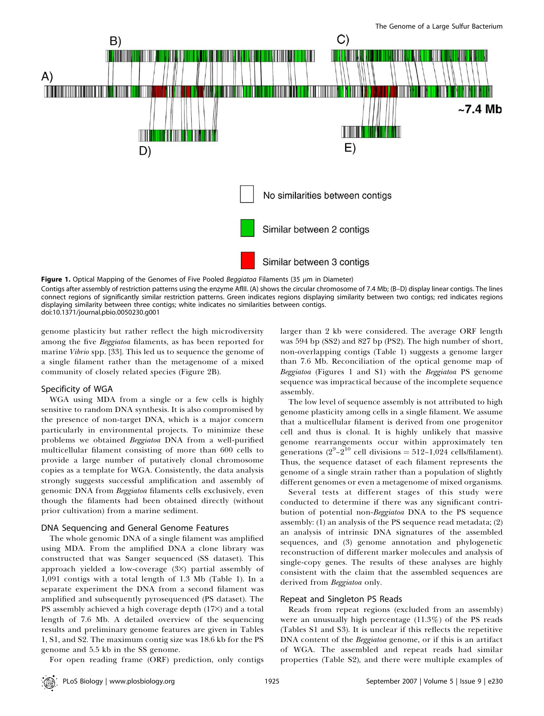

Figure 1. Optical Mapping of the Genomes of Five Pooled Beggiatoa Filaments (35  $\mu$ m in Diameter) Contigs after assembly of restriction patterns using the enzyme AflII. (A) shows the circular chromosome of 7.4 Mb; (B–D) display linear contigs. The lines connect regions of significantly similar restriction patterns. Green indicates regions displaying similarity between two contigs; red indicates regions displaying similarity between three contigs; white indicates no similarities between contigs. doi:10.1371/journal.pbio.0050230.g001

genome plasticity but rather reflect the high microdiversity among the five Beggiatoa filaments, as has been reported for marine Vibrio spp. [33]. This led us to sequence the genome of a single filament rather than the metagenome of a mixed community of closely related species (Figure 2B).

# Specificity of WGA

WGA using MDA from a single or a few cells is highly sensitive to random DNA synthesis. It is also compromised by the presence of non-target DNA, which is a major concern particularly in environmental projects. To minimize these problems we obtained Beggiatoa DNA from a well-purified multicellular filament consisting of more than 600 cells to provide a large number of putatively clonal chromosome copies as a template for WGA. Consistently, the data analysis strongly suggests successful amplification and assembly of genomic DNA from Beggiatoa filaments cells exclusively, even though the filaments had been obtained directly (without prior cultivation) from a marine sediment.

# DNA Sequencing and General Genome Features

The whole genomic DNA of a single filament was amplified using MDA. From the amplified DNA a clone library was constructed that was Sanger sequenced (SS dataset). This approach yielded a low-coverage (3×) partial assembly of 1,091 contigs with a total length of 1.3 Mb (Table 1). In a separate experiment the DNA from a second filament was amplified and subsequently pyrosequenced (PS dataset). The PS assembly achieved a high coverage depth (17×) and a total length of 7.6 Mb. A detailed overview of the sequencing results and preliminary genome features are given in Tables 1, S1, and S2. The maximum contig size was 18.6 kb for the PS genome and 5.5 kb in the SS genome.

larger than 2 kb were considered. The average ORF length was 594 bp (SS2) and 827 bp (PS2). The high number of short, non-overlapping contigs (Table 1) suggests a genome larger than 7.6 Mb. Reconciliation of the optical genome map of Beggiatoa (Figures 1 and S1) with the Beggiatoa PS genome sequence was impractical because of the incomplete sequence assembly.

The low level of sequence assembly is not attributed to high genome plasticity among cells in a single filament. We assume that a multicellular filament is derived from one progenitor cell and thus is clonal. It is highly unlikely that massive genome rearrangements occur within approximately ten generations (2<sup>9</sup>-2<sup>10</sup> cell divisions = 512-1,024 cells/filament). Thus, the sequence dataset of each filament represents the genome of a single strain rather than a population of slightly different genomes or even a metagenome of mixed organisms.

Several tests at different stages of this study were conducted to determine if there was any significant contribution of potential non-Beggiatoa DNA to the PS sequence assembly: (1) an analysis of the PS sequence read metadata; (2) an analysis of intrinsic DNA signatures of the assembled sequences, and (3) genome annotation and phylogenetic reconstruction of different marker molecules and analysis of single-copy genes. The results of these analyses are highly consistent with the claim that the assembled sequences are derived from Beggiatoa only.

#### Repeat and Singleton PS Reads

Reads from repeat regions (excluded from an assembly) were an unusually high percentage (11.3%) of the PS reads (Tables S1 and S3). It is unclear if this reflects the repetitive DNA content of the *Beggiatoa* genome, or if this is an artifact of WGA. The assembled and repeat reads had similar properties (Table S2), and there were multiple examples of

For open reading frame (ORF) prediction, only contigs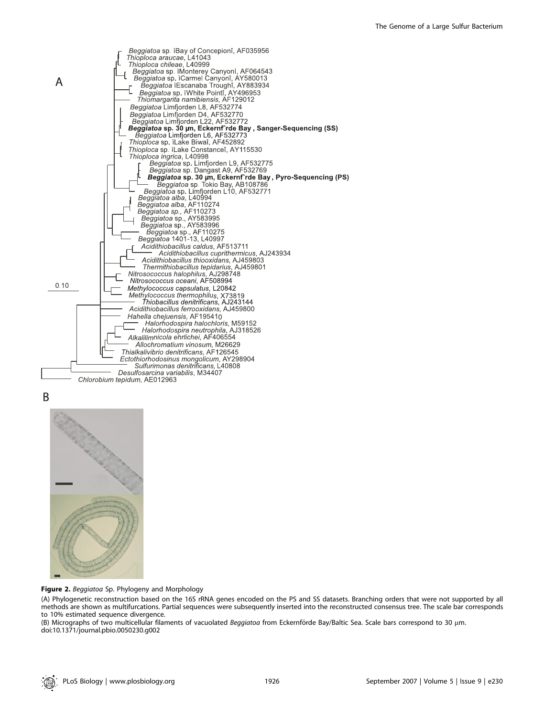

B



Figure 2. Beggiatoa Sp. Phylogeny and Morphology

(A) Phylogenetic reconstruction based on the 16S rRNA genes encoded on the PS and SS datasets. Branching orders that were not supported by all methods are shown as multifurcations. Partial sequences were subsequently inserted into the reconstructed consensus tree. The scale bar corresponds to 10% estimated sequence divergence.

(B) Micrographs of two multicellular filaments of vacuolated Beggiatoa from Eckernförde Bay/Baltic Sea. Scale bars correspond to 30 µm. doi:10.1371/journal.pbio.0050230.g002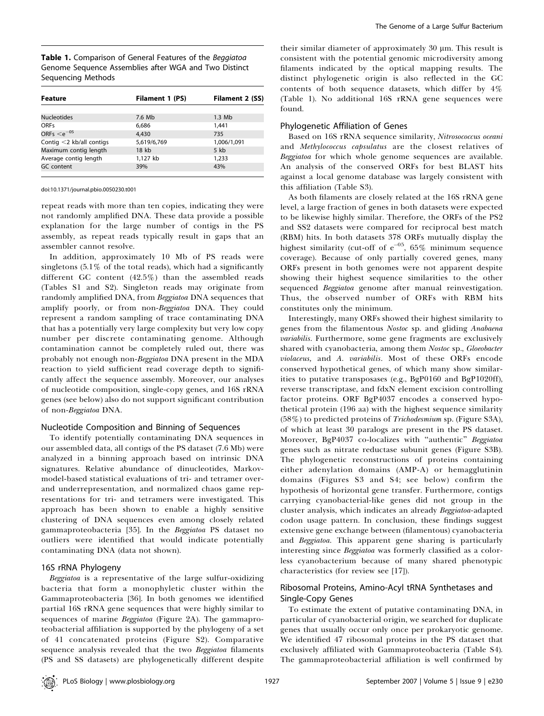Table 1. Comparison of General Features of the Beggiatoa Genome Sequence Assemblies after WGA and Two Distinct Sequencing Methods

| Feature                     | <b>Filament 1 (PS)</b> | Filament 2 (SS) |
|-----------------------------|------------------------|-----------------|
|                             |                        |                 |
| <b>Nucleotides</b>          | 7.6 Mb                 | $1.3$ Mb        |
| <b>ORFs</b>                 | 6.686                  | 1.441           |
| ORFs $\leq e^{-0.5}$        | 4.430                  | 735             |
| Contig $<$ 2 kb/all contigs | 5,619/6,769            | 1,006/1,091     |
| Maximum contig length       | 18 kb                  | $5$ kb          |
| Average contig length       | 1,127 kb               | 1,233           |
| GC content                  | 39%                    | 43%             |
|                             |                        |                 |

doi:10.1371/journal.pbio.0050230.t001

repeat reads with more than ten copies, indicating they were not randomly amplified DNA. These data provide a possible explanation for the large number of contigs in the PS assembly, as repeat reads typically result in gaps that an assembler cannot resolve.

In addition, approximately 10 Mb of PS reads were singletons  $(5.1\%$  of the total reads), which had a significantly different GC content (42.5%) than the assembled reads (Tables S1 and S2). Singleton reads may originate from randomly amplified DNA, from Beggiatoa DNA sequences that amplify poorly, or from non-Beggiatoa DNA. They could represent a random sampling of trace contaminating DNA that has a potentially very large complexity but very low copy number per discrete contaminating genome. Although contamination cannot be completely ruled out, there was probably not enough non-Beggiatoa DNA present in the MDA reaction to yield sufficient read coverage depth to significantly affect the sequence assembly. Moreover, our analyses of nucleotide composition, single-copy genes, and 16S rRNA genes (see below) also do not support significant contribution of non-Beggiatoa DNA.

## Nucleotide Composition and Binning of Sequences

To identify potentially contaminating DNA sequences in our assembled data, all contigs of the PS dataset (7.6 Mb) were analyzed in a binning approach based on intrinsic DNA signatures. Relative abundance of dinucleotides, Markovmodel-based statistical evaluations of tri- and tetramer overand underrepresentation, and normalized chaos game representations for tri- and tetramers were investigated. This approach has been shown to enable a highly sensitive clustering of DNA sequences even among closely related gammaproteobacteria [35]. In the Beggiatoa PS dataset no outliers were identified that would indicate potentially contaminating DNA (data not shown).

#### 16S rRNA Phylogeny

Beggiatoa is a representative of the large sulfur-oxidizing bacteria that form a monophyletic cluster within the Gammaproteobacteria [36]. In both genomes we identified partial 16S rRNA gene sequences that were highly similar to sequences of marine Beggiatoa (Figure 2A). The gammaproteobacterial affiliation is supported by the phylogeny of a set of 41 concatenated proteins (Figure S2). Comparative sequence analysis revealed that the two Beggiatoa filaments (PS and SS datasets) are phylogenetically different despite

their similar diameter of approximately  $30 \mu$ m. This result is consistent with the potential genomic microdiversity among filaments indicated by the optical mapping results. The distinct phylogenetic origin is also reflected in the GC contents of both sequence datasets, which differ by 4% (Table 1). No additional 16S rRNA gene sequences were found.

#### Phylogenetic Affiliation of Genes

Based on 16S rRNA sequence similarity, Nitrosococcus oceani and Methylococcus capsulatus are the closest relatives of Beggiatoa for which whole genome sequences are available. An analysis of the conserved ORFs for best BLAST hits against a local genome database was largely consistent with this affiliation (Table S3).

As both filaments are closely related at the 16S rRNA gene level, a large fraction of genes in both datasets were expected to be likewise highly similar. Therefore, the ORFs of the PS2 and SS2 datasets were compared for reciprocal best match (RBM) hits. In both datasets 378 ORFs mutually display the highest similarity (cut-off of  $e^{-0.5}$ , 65% minimum sequence coverage). Because of only partially covered genes, many ORFs present in both genomes were not apparent despite showing their highest sequence similarities to the other sequenced Beggiatoa genome after manual reinvestigation. Thus, the observed number of ORFs with RBM hits constitutes only the minimum.

Interestingly, many ORFs showed their highest similarity to genes from the filamentous Nostoc sp. and gliding Anabaena variabilis. Furthermore, some gene fragments are exclusively shared with cyanobacteria, among them Nostoc sp., Gloeobacter violaceus, and A. variabilis. Most of these ORFs encode conserved hypothetical genes, of which many show similarities to putative transposases (e.g., BgP0160 and BgP1020ff), reverse transcriptase, and fdxN element excision controlling factor proteins. ORF BgP4037 encodes a conserved hypothetical protein (196 aa) with the highest sequence similarity (58%) to predicted proteins of Trichodesmium sp. (Figure S3A), of which at least 30 paralogs are present in the PS dataset. Moreover, BgP4037 co-localizes with ''authentic'' Beggiatoa genes such as nitrate reductase subunit genes (Figure S3B). The phylogenetic reconstructions of proteins containing either adenylation domains (AMP-A) or hemagglutinin domains (Figures S3 and S4; see below) confirm the hypothesis of horizontal gene transfer. Furthermore, contigs carrying cyanobacterial-like genes did not group in the cluster analysis, which indicates an already Beggiatoa-adapted codon usage pattern. In conclusion, these findings suggest extensive gene exchange between (filamentous) cyanobacteria and Beggiatoa. This apparent gene sharing is particularly interesting since Beggiatoa was formerly classified as a colorless cyanobacterium because of many shared phenotypic characteristics (for review see [17]).

# Ribosomal Proteins, Amino-Acyl tRNA Synthetases and Single-Copy Genes

To estimate the extent of putative contaminating DNA, in particular of cyanobacterial origin, we searched for duplicate genes that usually occur only once per prokaryotic genome. We identified 47 ribosomal proteins in the PS dataset that exclusively affiliated with Gammaproteobacteria (Table S4). The gammaproteobacterial affiliation is well confirmed by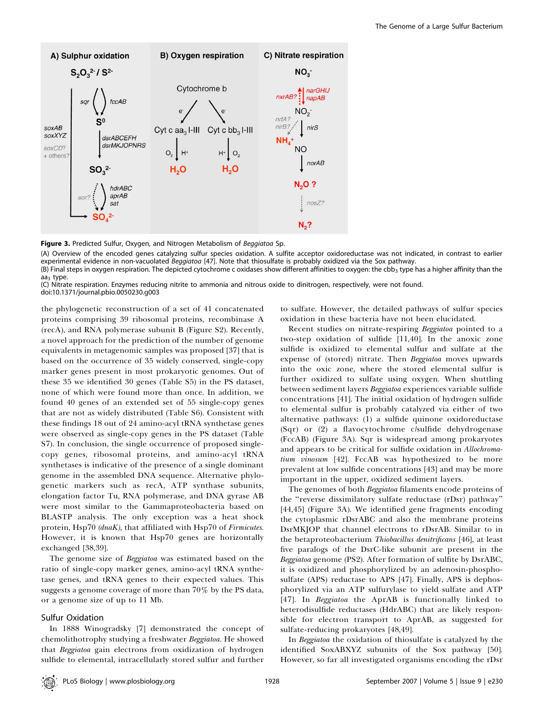

Figure 3. Predicted Sulfur, Oxygen, and Nitrogen Metabolism of Beggiatoa Sp.

(A) Overview of the encoded genes catalyzing sulfur species oxidation. A sulfite acceptor oxidoreductase was not indicated, in contrast to earlier experimental evidence in non-vacuolated Beggiatoa [47]. Note that thiosulfate is probably oxidized via the Sox pathway.

(B) Final steps in oxygen respiration. The depicted cytochrome c oxidases show different affinities to oxygen: the cbb<sub>3</sub> type has a higher affinity than the  $aa<sub>3</sub>$  type.

(C) Nitrate respiration. Enzymes reducing nitrite to ammonia and nitrous oxide to dinitrogen, respectively, were not found. doi:10.1371/journal.pbio.0050230.g003

the phylogenetic reconstruction of a set of 41 concatenated proteins comprising 39 ribosomal proteins, recombinase A (recA), and RNA polymerase subunit B (Figure S2). Recently, a novel approach for the prediction of the number of genome equivalents in metagenomic samples was proposed [37] that is based on the occurrence of 35 widely conserved, single-copy marker genes present in most prokaryotic genomes. Out of these 35 we identified 30 genes (Table S5) in the PS dataset, none of which were found more than once. In addition, we found 40 genes of an extended set of 55 single-copy genes that are not as widely distributed (Table S6). Consistent with these findings 18 out of 24 amino-acyl tRNA synthetase genes were observed as single-copy genes in the PS dataset (Table S7). In conclusion, the single occurrence of proposed singlecopy genes, ribosomal proteins, and amino-acyl tRNA synthetases is indicative of the presence of a single dominant genome in the assembled DNA sequence. Alternative phylogenetic markers such as recA, ATP synthase subunits, elongation factor Tu, RNA polymerase, and DNA gyrase AB were most similar to the Gammaproteobacteria based on BLASTP analysis. The only exception was a heat shock protein, Hsp70 (dnaK), that affiliated with Hsp70 of Firmicutes. However, it is known that Hsp70 genes are horizontally exchanged [38,39].

The genome size of Beggiatoa was estimated based on the ratio of single-copy marker genes, amino-acyl tRNA synthetase genes, and tRNA genes to their expected values. This suggests a genome coverage of more than 70% by the PS data, or a genome size of up to 11 Mb.

# Sulfur Oxidation

In 1888 Winogradsky [7] demonstrated the concept of chemolithotrophy studying a freshwater Beggiatoa. He showed that Beggiatoa gain electrons from oxidization of hydrogen sulfide to elemental, intracellularly stored sulfur and further

to sulfate. However, the detailed pathways of sulfur species oxidation in these bacteria have not been elucidated.

Recent studies on nitrate-respiring Beggiatoa pointed to a two-step oxidation of sulfide [11,40]. In the anoxic zone sulfide is oxidized to elemental sulfur and sulfate at the expense of (stored) nitrate. Then Beggiatoa moves upwards into the oxic zone, where the stored elemental sulfur is further oxidized to sulfate using oxygen. When shuttling between sediment layers Beggiatoa experiences variable sulfide concentrations [41]. The initial oxidation of hydrogen sulfide to elemental sulfur is probably catalyzed via either of two alternative pathways: (1) a sulfide quinone oxidoreductase (Sqr) or (2) a flavocytochrome c/sulfide dehydrogenase (FccAB) (Figure 3A). Sqr is widespread among prokaryotes and appears to be critical for sulfide oxidation in Allochromatium vinosum [42]. FccAB was hypothesized to be more prevalent at low sulfide concentrations [43] and may be more important in the upper, oxidized sediment layers.

The genomes of both Beggiatoa filaments encode proteins of the ''reverse dissimilatory sulfate reductase (rDsr) pathway'' [44,45] (Figure 3A). We identified gene fragments encoding the cytoplasmic rDsrABC and also the membrane proteins DsrMKJOP that channel electrons to rDsrAB. Similar to in the betaproteobacterium Thiobacillus denitrificans [46], at least five paralogs of the DsrC-like subunit are present in the Beggiatoa genome (PS2). After formation of sulfite by DsrABC, it is oxidized and phosphorylized by an adenosin-phosphosulfate (APS) reductase to APS [47]. Finally, APS is dephosphorylized via an ATP sulfurylase to yield sulfate and ATP [47]. In Beggiatoa the AprAB is functionally linked to heterodisulfide reductases (HdrABC) that are likely responsible for electron transport to AprAB, as suggested for sulfate-reducing prokaryotes [48,49].

In Beggiatoa the oxidation of thiosulfate is catalyzed by the identified SoxABXYZ subunits of the Sox pathway [50]. However, so far all investigated organisms encoding the rDsr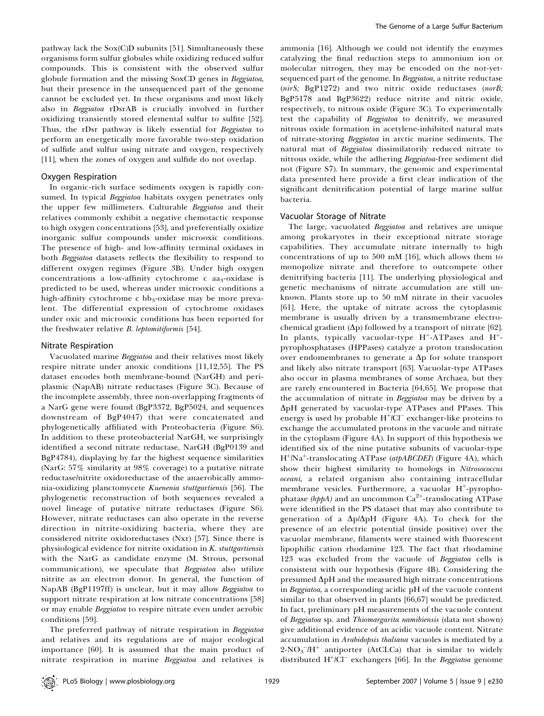pathway lack the Sox(C)D subunits [51]. Simultaneously these organisms form sulfur globules while oxidizing reduced sulfur compounds. This is consistent with the observed sulfur globule formation and the missing SoxCD genes in Beggiatoa, but their presence in the unsequenced part of the genome cannot be excluded yet. In these organisms and most likely also in Beggiatoa rDsrAB is crucially involved in further oxidizing transiently stored elemental sulfur to sulfite [52]. Thus, the rDsr pathway is likely essential for Beggiatoa to perform an energetically more favorable two-step oxidation of sulfide and sulfur using nitrate and oxygen, respectively [11], when the zones of oxygen and sulfide do not overlap.

#### Oxygen Respiration

In organic-rich surface sediments oxygen is rapidly consumed. In typical Beggiatoa habitats oxygen penetrates only the upper few millimeters. Culturable Beggiatoa and their relatives commonly exhibit a negative chemotactic response to high oxygen concentrations [53], and preferentially oxidize inorganic sulfur compounds under microoxic conditions. The presence of high- and low-affinity terminal oxidases in both Beggiatoa datasets reflects the flexibility to respond to different oxygen regimes (Figure 3B). Under high oxygen concentrations a low-affinity cytochrome  $c$  aa<sub>3</sub>-oxidase is predicted to be used, whereas under microoxic conditions a high-affinity cytochrome c bb<sub>3</sub>-oxidase may be more prevalent. The differential expression of cytochrome oxidases under oxic and microoxic conditions has been reported for the freshwater relative *B. leptomitiformis* [54].

#### Nitrate Respiration

Vacuolated marine Beggiatoa and their relatives most likely respire nitrate under anoxic conditions [11,12,55]. The PS dataset encodes both membrane-bound (NarGH) and periplasmic (NapAB) nitrate reductases (Figure 3C). Because of the incomplete assembly, three non-overlapping fragments of a NarG gene were found (BgP3372, BgP5024, and sequences downstream of BgP4047) that were concatenated and phylogenetically affiliated with Proteobacteria (Figure S6). In addition to these proteobacterial NarGH, we surprisingly identified a second nitrate reductase, NarGH (BgP0139 and BgP4784), displaying by far the highest sequence similarities (NarG: 57% similarity at 98% coverage) to a putative nitrate reductase/nitrite oxidoreductase of the anaerobically ammonia-oxidizing planctomycete Kuenenia stuttgartiensis [56]. The phylogenetic reconstruction of both sequences revealed a novel lineage of putative nitrate reductases (Figure S6). However, nitrate reductases can also operate in the reverse direction in nitrite-oxidizing bacteria, where they are considered nitrite oxidoreductases (Nxr) [57]. Since there is physiological evidence for nitrite oxidation in K. stuttgartiensis with the NarG as candidate enzyme (M. Strous, personal communication), we speculate that Beggiatoa also utilize nitrite as an electron donor. In general, the function of NapAB (BgP1197ff) is unclear, but it may allow Beggiatoa to support nitrate respiration at low nitrate concentrations [58] or may enable Beggiatoa to respire nitrate even under aerobic conditions [59].

The preferred pathway of nitrate respiration in Beggiatoa and relatives and its regulations are of major ecological importance [60]. It is assumed that the main product of nitrate respiration in marine Beggiatoa and relatives is ammonia [16]. Although we could not identify the enzymes catalyzing the final reduction steps to ammonium ion or molecular nitrogen, they may be encoded on the not-yetsequenced part of the genome. In Beggiatoa, a nitrite reductase (nirS; BgP1272) and two nitric oxide reductases (norB; BgP5178 and BgP3622) reduce nitrite and nitric oxide, respectively, to nitrous oxide (Figure 3C). To experimentally test the capability of Beggiatoa to denitrify, we measured nitrous oxide formation in acetylene-inhibited natural mats of nitrate-storing Beggiatoa in arctic marine sediments. The natural mat of Beggiatoa dissimilatorily reduced nitrate to nitrous oxide, while the adhering Beggiatoa-free sediment did not (Figure S7). In summary, the genomic and experimental data presented here provide a first clear indication of the significant denitrification potential of large marine sulfur bacteria.

#### Vacuolar Storage of Nitrate

The large, vacuolated Beggiatoa and relatives are unique among prokaryotes in their exceptional nitrate storage capabilities. They accumulate nitrate internally to high concentrations of up to 500 mM [16], which allows them to monopolize nitrate and therefore to outcompete other denitrifying bacteria [11]. The underlying physiological and genetic mechanisms of nitrate accumulation are still unknown. Plants store up to 50 mM nitrate in their vacuoles [61]. Here, the uptake of nitrate across the cytoplasmic membrane is usually driven by a transmembrane electrochemical gradient  $(\Delta p)$  followed by a transport of nitrate [62]. In plants, typically vacuolar-type  $H^+$ -ATPases and  $H^+$ pyrophosphatases (HPPases) catalyze a proton translocation over endomembranes to generate a  $\Delta p$  for solute transport and likely also nitrate transport [63]. Vacuolar-type ATPases also occur in plasma membranes of some Archaea, but they are rarely encountered in Bacteria [64,65]. We propose that the accumulation of nitrate in Beggiatoa may be driven by a ApH generated by vacuolar-type ATPases and PPases. This energy is used by probable  $H^{+}/Cl^{-}$  exchanger-like proteins to exchange the accumulated protons in the vacuole and nitrate in the cytoplasm (Figure 4A). In support of this hypothesis we identified six of the nine putative subunits of vacuolar-type  $H^+/Na^+$ -translocating ATPase (atpABCDEI) (Figure 4A), which show their highest similarity to homologs in Nitrosococcus oceani, a related organism also containing intracellular membrane vesicles. Furthermore, a vacuolar  $H^+$ -pyrophophatase (hppA) and an uncommon  $Ca^{2+}$ -translocating ATPase were identified in the PS dataset that may also contribute to generation of a  $\Delta p/\Delta pH$  (Figure 4A). To check for the presence of an electric potential (inside positive) over the vacuolar membrane, filaments were stained with fluorescent lipophilic cation rhodamine 123. The fact that rhodamine 123 was excluded from the vacuole of Beggiatoa cells is consistent with our hypothesis (Figure 4B). Considering the presumed  $\Delta pH$  and the measured high nitrate concentrations in Beggiatoa, a corresponding acidic pH of the vacuole content similar to that observed in plants [66,67] would be predicted. In fact, preliminary pH measurements of the vacuole content of Beggiatoa sp. and Thiomargarita namibiensis (data not shown) give additional evidence of an acidic vacuole content. Nitrate accumulation in Arabidopsis thaliana vacuoles is mediated by a  $2$ -NO<sub>3</sub><sup>-</sup>/H<sup>+</sup> antiporter (AtCLCa) that is similar to widely distributed  $H^{+}/\dot{C}$  exchangers [66]. In the Beggiatoa genome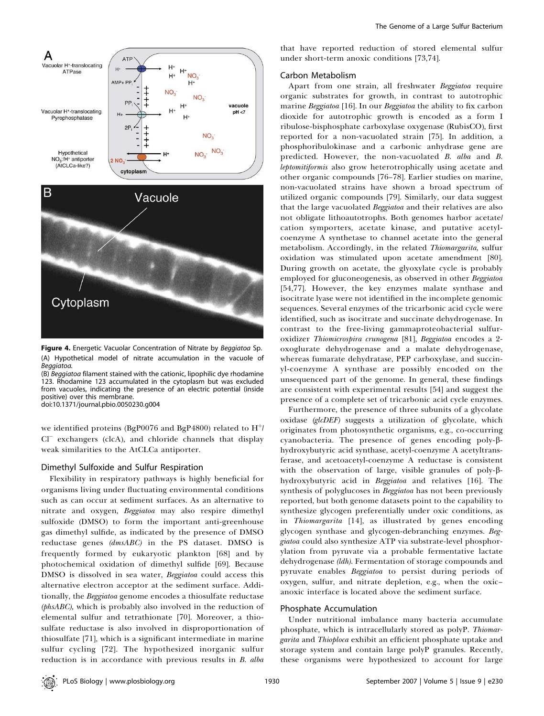

Figure 4. Energetic Vacuolar Concentration of Nitrate by Beggiatoa Sp. (A) Hypothetical model of nitrate accumulation in the vacuole of Beggiatoa.

(B) Beggiatoa filament stained with the cationic, lipophilic dye rhodamine 123. Rhodamine 123 accumulated in the cytoplasm but was excluded from vacuoles, indicating the presence of an electric potential (inside positive) over this membrane.

doi:10.1371/journal.pbio.0050230.g004

we identified proteins (BgP0076 and BgP4800) related to  $H^{\dagger}$ Cl<sup>-</sup> exchangers (clcA), and chloride channels that display weak similarities to the AtCLCa antiporter.

# Dimethyl Sulfoxide and Sulfur Respiration

Flexibility in respiratory pathways is highly beneficial for organisms living under fluctuating environmental conditions such as can occur at sediment surfaces. As an alternative to nitrate and oxygen, Beggiatoa may also respire dimethyl sulfoxide (DMSO) to form the important anti-greenhouse gas dimethyl sulfide, as indicated by the presence of DMSO reductase genes (dmsABC) in the PS dataset. DMSO is frequently formed by eukaryotic plankton [68] and by photochemical oxidation of dimethyl sulfide [69]. Because DMSO is dissolved in sea water, *Beggiatoa* could access this alternative electron acceptor at the sediment surface. Additionally, the Beggiatoa genome encodes a thiosulfate reductase (phsABC), which is probably also involved in the reduction of elemental sulfur and tetrathionate [70]. Moreover, a thiosulfate reductase is also involved in disproportionation of thiosulfate [71], which is a significant intermediate in marine sulfur cycling [72]. The hypothesized inorganic sulfur reduction is in accordance with previous results in B. alba that have reported reduction of stored elemental sulfur under short-term anoxic conditions [73,74].

#### Carbon Metabolism

Apart from one strain, all freshwater Beggiatoa require organic substrates for growth, in contrast to autotrophic marine Beggiatoa [16]. In our Beggiatoa the ability to fix carbon dioxide for autotrophic growth is encoded as a form I ribulose-bisphosphate carboxylase oxygenase (RubisCO), first reported for a non-vacuolated strain [75]. In addition, a phosphoribulokinase and a carbonic anhydrase gene are predicted. However, the non-vacuolated B. alba and B. leptomitiformis also grow heterotrophically using acetate and other organic compounds [76–78]. Earlier studies on marine, non-vacuolated strains have shown a broad spectrum of utilized organic compounds [79]. Similarly, our data suggest that the large vacuolated Beggiatoa and their relatives are also not obligate lithoautotrophs. Both genomes harbor acetate/ cation symporters, acetate kinase, and putative acetylcoenzyme A synthetase to channel acetate into the general metabolism. Accordingly, in the related Thiomargarita, sulfur oxidation was stimulated upon acetate amendment [80]. During growth on acetate, the glyoxylate cycle is probably employed for gluconeogenesis, as observed in other Beggiatoa [54,77]. However, the key enzymes malate synthase and isocitrate lyase were not identified in the incomplete genomic sequences. Several enzymes of the tricarbonic acid cycle were identified, such as isocitrate and succinate dehydrogenase. In contrast to the free-living gammaproteobacterial sulfuroxidizer Thiomicrospira crunogena [81], Beggiatoa encodes a 2 oxoglurate dehydrogenase and a malate dehydrogenase, whereas fumarate dehydratase, PEP carboxylase, and succinyl-coenzyme A synthase are possibly encoded on the unsequenced part of the genome. In general, these findings are consistent with experimental results [54] and suggest the presence of a complete set of tricarbonic acid cycle enzymes.

Furthermore, the presence of three subunits of a glycolate oxidase (glcDEF) suggests a utilization of glycolate, which originates from photosynthetic organisms, e.g., co-occurring cyanobacteria. The presence of genes encoding poly-bhydroxybutyric acid synthase, acetyl-coenzyme A acetyltransferase, and acetoacetyl-coenzyme A reductase is consistent with the observation of large, visible granules of poly- $\beta$ hydroxybutyric acid in Beggiatoa and relatives [16]. The synthesis of polyglucoses in Beggiatoa has not been previously reported, but both genome datasets point to the capability to synthesize glycogen preferentially under oxic conditions, as in Thiomargarita [14], as illustrated by genes encoding glycogen synthase and glycogen-debranching enzymes. Beggiatoa could also synthesize ATP via substrate-level phosphorylation from pyruvate via a probable fermentative lactate dehydrogenase (ldh). Fermentation of storage compounds and pyruvate enables Beggiatoa to persist during periods of oxygen, sulfur, and nitrate depletion, e.g., when the oxic– anoxic interface is located above the sediment surface.

#### Phosphate Accumulation

Under nutritional imbalance many bacteria accumulate phosphate, which is intracellularly stored as polyP. Thiomargarita and Thioploca exhibit an efficient phosphate uptake and storage system and contain large polyP granules. Recently, these organisms were hypothesized to account for large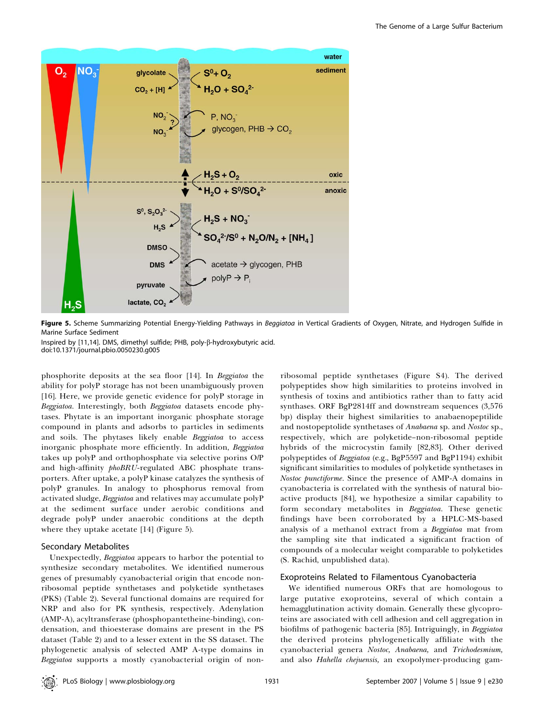

Figure 5. Scheme Summarizing Potential Energy-Yielding Pathways in Beggiatoa in Vertical Gradients of Oxygen, Nitrate, and Hydrogen Sulfide in Marine Surface Sediment

Inspired by [11,14]. DMS, dimethyl sulfide; PHB, poly-ß-hydroxybutyric acid. doi:10.1371/journal.pbio.0050230.g005

phosphorite deposits at the sea floor [14]. In Beggiatoa the ability for polyP storage has not been unambiguously proven [16]. Here, we provide genetic evidence for polyP storage in Beggiatoa. Interestingly, both Beggiatoa datasets encode phytases. Phytate is an important inorganic phosphate storage compound in plants and adsorbs to particles in sediments and soils. The phytases likely enable Beggiatoa to access inorganic phosphate more efficiently. In addition, Beggiatoa takes up polyP and orthophosphate via selective porins O/P and high-affinity phoBRU-regulated ABC phosphate transporters. After uptake, a polyP kinase catalyzes the synthesis of polyP granules. In analogy to phosphorus removal from activated sludge, Beggiatoa and relatives may accumulate polyP at the sediment surface under aerobic conditions and degrade polyP under anaerobic conditions at the depth where they uptake acetate [14] (Figure 5).

# Secondary Metabolites

Unexpectedly, Beggiatoa appears to harbor the potential to synthesize secondary metabolites. We identified numerous genes of presumably cyanobacterial origin that encode nonribosomal peptide synthetases and polyketide synthetases (PKS) (Table 2). Several functional domains are required for NRP and also for PK synthesis, respectively. Adenylation (AMP-A), acyltransferase (phosphopantetheine-binding), condensation, and thioesterase domains are present in the PS dataset (Table 2) and to a lesser extent in the SS dataset. The phylogenetic analysis of selected AMP A-type domains in Beggiatoa supports a mostly cyanobacterial origin of non-

ribosomal peptide synthetases (Figure S4). The derived polypeptides show high similarities to proteins involved in synthesis of toxins and antibiotics rather than to fatty acid synthases. ORF BgP2814ff and downstream sequences (3,576 bp) display their highest similarities to anabaenopeptilide and nostopeptolide synthetases of Anabaena sp. and Nostoc sp., respectively, which are polyketide–non-ribosomal peptide hybrids of the microcystin family [82,83]. Other derived polypeptides of Beggiatoa (e.g., BgP5597 and BgP1194) exhibit significant similarities to modules of polyketide synthetases in Nostoc punctiforme. Since the presence of AMP-A domains in cyanobacteria is correlated with the synthesis of natural bioactive products [84], we hypothesize a similar capability to form secondary metabolites in Beggiatoa. These genetic findings have been corroborated by a HPLC-MS-based analysis of a methanol extract from a Beggiatoa mat from the sampling site that indicated a significant fraction of compounds of a molecular weight comparable to polyketides (S. Rachid, unpublished data).

# Exoproteins Related to Filamentous Cyanobacteria

We identified numerous ORFs that are homologous to large putative exoproteins, several of which contain a hemagglutination activity domain. Generally these glycoproteins are associated with cell adhesion and cell aggregation in biofilms of pathogenic bacteria [85]. Intriguingly, in Beggiatoa the derived proteins phylogenetically affiliate with the cyanobacterial genera Nostoc, Anabaena, and Trichodesmium, and also Hahella chejuensis, an exopolymer-producing gam-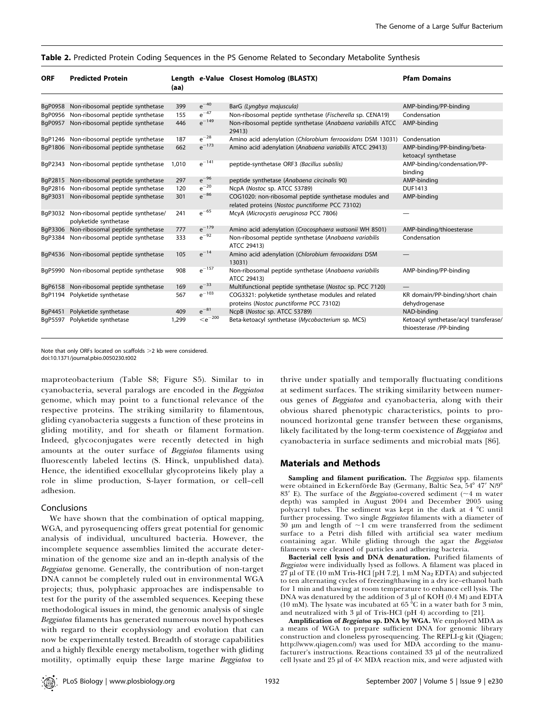| <b>ORF</b> | <b>Predicted Protein</b>                                   | (aa)  |                    | Length e-Value Closest Homolog (BLASTX)                                                                  | <b>Pfam Domains</b>                                               |
|------------|------------------------------------------------------------|-------|--------------------|----------------------------------------------------------------------------------------------------------|-------------------------------------------------------------------|
| BgP0958    | Non-ribosomal peptide synthetase                           | 399   | $e^{-40}$          | BarG (Lyngbya majuscula)                                                                                 | AMP-binding/PP-binding                                            |
| BqP0956    | Non-ribosomal peptide synthetase                           | 155   | $e^{-47}$          | Non-ribosomal peptide synthetase (Fischerella sp. CENA19)                                                | Condensation                                                      |
| BgP0957    | Non-ribosomal peptide synthetase                           | 446   | $e^{-149}$         | Non-ribosomal peptide synthetase (Anabaena variabilis ATCC<br>29413)                                     | AMP-binding                                                       |
|            | BqP1246 Non-ribosomal peptide synthetase                   | 187   | $e^{-28}$          | Amino acid adenylation (Chlorobium ferrooxidans DSM 13031)                                               | Condensation                                                      |
| BaP1806    | Non-ribosomal peptide synthetase                           | 662   | $e^{-173}$         | Amino acid adenylation (Anabaena variabilis ATCC 29413)                                                  | AMP-binding/PP-binding/beta-<br>ketoacyl synthetase               |
| BgP2343    | Non-ribosomal peptide synthetase                           | 1.010 | $e^{-141}$         | peptide-synthetase ORF3 (Bacillus subtilis)                                                              | AMP-binding/condensation/PP-<br>binding                           |
| BgP2815    | Non-ribosomal peptide synthetase                           | 297   | $e^{-96}$          | peptide synthetase (Anabaena circinalis 90)                                                              | AMP-binding                                                       |
| BgP2816    | Non-ribosomal peptide synthetase                           | 120   | $\mathrm{e}^{-20}$ | NcpA (Nostoc sp. ATCC 53789)                                                                             | <b>DUF1413</b>                                                    |
| BgP3031    | Non-ribosomal peptide synthetase                           | 301   | $e^{-86}$          | COG1020: non-ribosomal peptide synthetase modules and<br>related proteins (Nostoc punctiforme PCC 73102) | AMP-binding                                                       |
| BqP3032    | Non-ribosomal peptide synthetase/<br>polyketide synthetase | 241   | $\mathrm{e}^{-65}$ | McyA (Microcystis aeruginosa PCC 7806)                                                                   |                                                                   |
| BgP3306    | Non-ribosomal peptide synthetase                           | 777   | $e^{-179}$         | Amino acid adenylation (Crocosphaera watsonii WH 8501)                                                   | AMP-binding/thioesterase                                          |
| BqP3384    | Non-ribosomal peptide synthetase                           | 333   | $e^{-92}$          | Non-ribosomal peptide synthetase (Anabaena variabilis<br>ATCC 29413)                                     | Condensation                                                      |
| BgP4536    | Non-ribosomal peptide synthetase                           | 105   | $e^{-14}$          | Amino acid adenylation (Chlorobium ferrooxidans DSM<br>13031)                                            |                                                                   |
| BqP5990    | Non-ribosomal peptide synthetase                           | 908   | $e^{-157}$         | Non-ribosomal peptide synthetase (Anabaena variabilis<br>ATCC 29413)                                     | AMP-binding/PP-binding                                            |
| BgP6158    | Non-ribosomal peptide synthetase                           | 169   | $e^{-33}$          | Multifunctional peptide synthetase (Nostoc sp. PCC 7120)                                                 |                                                                   |
| BgP1194    | Polyketide synthetase                                      | 567   | $e^{-103}$         | COG3321: polyketide synthetase modules and related<br>proteins (Nostoc punctiforme PCC 73102)            | KR domain/PP-binding/short chain<br>dehydrogenase                 |
| BgP4451    | Polyketide synthetase                                      | 409   | $e^{-81}$          | NcpB (Nostoc sp. ATCC 53789)                                                                             | NAD-binding                                                       |
| BqP5597    | Polyketide synthetase                                      | 1,299 | $\rm <\!e^{-200}$  | Beta-ketoacyl synthetase (Mycobacterium sp. MCS)                                                         | Ketoacyl synthetase/acyl transferase/<br>thioesterase /PP-binding |

Note that only ORFs located on scaffolds >2 kb were considered.

doi:10.1371/journal.pbio.0050230.t002

maproteobacterium (Table S8; Figure S5). Similar to in cyanobacteria, several paralogs are encoded in the Beggiatoa genome, which may point to a functional relevance of the respective proteins. The striking similarity to filamentous, gliding cyanobacteria suggests a function of these proteins in gliding motility, and for sheath or filament formation. Indeed, glycoconjugates were recently detected in high amounts at the outer surface of Beggiatoa filaments using fluorescently labeled lectins (S. Hinck, unpublished data). Hence, the identified exocellular glycoproteins likely play a role in slime production, S-layer formation, or cell–cell adhesion.

#### Conclusions

We have shown that the combination of optical mapping, WGA, and pyrosequencing offers great potential for genomic analysis of individual, uncultured bacteria. However, the incomplete sequence assemblies limited the accurate determination of the genome size and an in-depth analysis of the Beggiatoa genome. Generally, the contribution of non-target DNA cannot be completely ruled out in environmental WGA projects; thus, polyphasic approaches are indispensable to test for the purity of the assembled sequences. Keeping these methodological issues in mind, the genomic analysis of single Beggiatoa filaments has generated numerous novel hypotheses with regard to their ecophysiology and evolution that can now be experimentally tested. Breadth of storage capabilities and a highly flexible energy metabolism, together with gliding motility, optimally equip these large marine Beggiatoa to

thrive under spatially and temporally fluctuating conditions at sediment surfaces. The striking similarity between numerous genes of Beggiatoa and cyanobacteria, along with their obvious shared phenotypic characteristics, points to pronounced horizontal gene transfer between these organisms, likely facilitated by the long-term coexistence of Beggiatoa and cyanobacteria in surface sediments and microbial mats [86].

# Materials and Methods

Sampling and filament purification. The Beggiatoa spp. filaments were obtained in Eckernförde Bay (Germany, Baltic Sea, 54° 47' N/9° 83' E). The surface of the Beggiatoa-covered sediment ( $\sim$ 4 m water depth) was sampled in August 2004 and December 2005 using polyacryl tubes. The sediment was kept in the dark at  $4 °C$  until further processing. Two single Beggiatoa filaments with a diameter of 30  $\mu$ m and length of  $\sim$ 1 cm were transferred from the sediment surface to a Petri dish filled with artificial sea water medium containing agar. While gliding through the agar the Beggiatoa filaments were cleaned of particles and adhering bacteria.

Bacterial cell lysis and DNA denaturation. Purified filaments of Beggiatoa were individually lysed as follows. A filament was placed in  $27 \mu$ l of TE (10 mM Tris-HCl [pH 7.2], 1 mM Na<sub>2</sub> EDTA) and subjected to ten alternating cycles of freezing/thawing in a dry ice–ethanol bath for 1 min and thawing at room temperature to enhance cell lysis. The DNA was denatured by the addition of  $3 \mu$ l of KOH (0.4 M) and EDTA (10 mM). The lysate was incubated at  $65\,^{\circ}\mathrm{C}$  in a water bath for 3 min, and neutralized with  $3 \mu$ l of Tris-HCl (pH 4) according to [21].

Amplification of Beggiatoa sp. DNA by WGA. We employed MDA as a means of WGA to prepare sufficient DNA for genomic library construction and cloneless pyrosequencing. The REPLI-g kit (Qiagen; http://www.qiagen.com/) was used for MDA according to the manufacturer's instructions. Reactions contained 33 µl of the neutralized cell lysate and  $25 \mu$ l of  $4 \times MDA$  reaction mix, and were adjusted with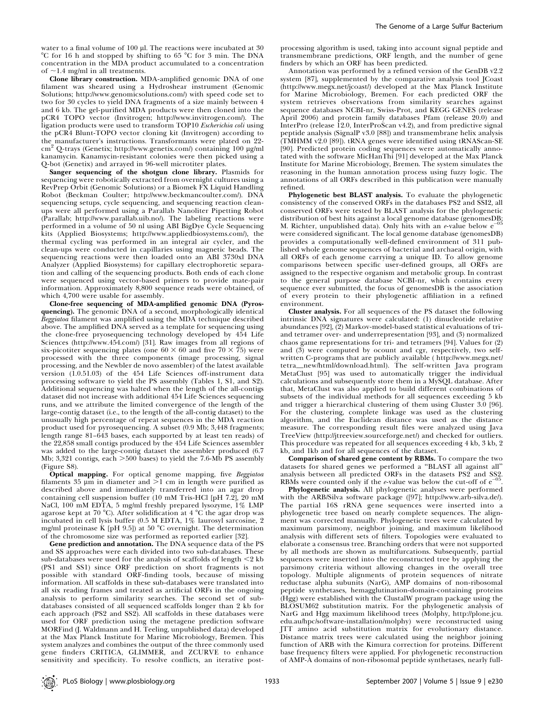Clone library construction. MDA-amplified genomic DNA of one filament was sheared using a Hydroshear instrument (Genomic Solutions; http://www.genomicsolutions.com/) with speed code set to two for 30 cycles to yield DNA fragments of a size mainly between 4 and 6 kb. The gel-purified MDA products were then cloned into the pCR4 TOPO vector (Invitrogen; http://www.invitrogen.com/). The ligation products were used to transform TOP10 Escherichia coli using the pCR4 Blunt-TOPO vector cloning kit (Invitrogen) according to the manufacturer's instructions. Transformants were plated on 22 cm<sup>2</sup> Q-trays (Genetix; http://www.genetix.com/) containing 100 µg/ml kanamycin. Kanamycin-resistant colonies were then picked using a Q-bot (Genetix) and arrayed in 96-well microtiter plates.

Sanger sequencing of the shotgun clone library. Plasmids for sequencing were robotically extracted from overnight cultures using a RevPrep Orbit (Genomic Solutions) or a Biomek FX Liquid Handling Robot (Beckman Coulter; http://www.beckmancoulter.com/). DNA sequencing setups, cycle sequencing, and sequencing reaction cleanups were all performed using a Parallab Nanoliter Pipetting Robot (Parallab; http://www.parallab.uib.no/). The labeling reactions were performed in a volume of 50 nl using ABI BigDye Cycle Sequencing kits (Applied Biosystems; http://www.appliedbiosystems.com/), the thermal cycling was performed in an integral air cycler, and the clean-ups were conducted in capillaries using magnetic beads. The sequencing reactions were then loaded onto an ABI 3730xl DNA Analyzer (Applied Biosystems) for capillary electrophoretic separation and calling of the sequencing products. Both ends of each clone were sequenced using vector-based primers to provide mate-pair information. Approximately 8,800 sequence reads were obtained, of which 4,700 were usable for assembly.

Clone-free sequencing of MDA-amplified genomic DNA (Pyrosquencing). The genomic DNA of a second, morphologically identical Beggiatoa filament was amplified using the MDA technique described above. The amplified DNA served as a template for sequencing using the clone-free pryosequencing technology developed by 454 Life Sciences (http://www.454.com/) [31]. Raw images from all regions of six-picotiter sequencing plates (one  $60 \times 60$  and five  $70 \times 75$ ) were processed with the three components (image processing, signal processing, and the Newbler de novo assembler) of the latest available version (1.0.51.03) of the 454 Life Sciences off-instrument data processing software to yield the PS assembly (Tables 1, S1, and S2). Additional sequencing was halted when the length of the all-contigs dataset did not increase with additional 454 Life Sciences sequencing runs, and we attribute the limited convergence of the length of the large-contig dataset (i.e., to the length of the all-contig dataset) to the unusually high percentage of repeat sequences in the MDA reaction product used for pyrosequencing. A subset (0.9 Mb; 3,448 fragments; length range 81–643 bases, each supported by at least ten reads) of the 22,858 small contigs produced by the 454 Life Sciences assembler was added to the large-contig dataset the assembler produced (6.7 Mb; 3,321 contigs, each  $>500$  bases) to yield the 7.6-Mb PS assembly (Figure S8).

Optical mapping. For optical genome mapping, five Beggiatoa filaments 35  $\mu$ m in diameter and  $\geq$ 1 cm in length were purified as described above and immediately transferred into an agar drop containing cell suspension buffer (10 mM Tris-HCl [pH 7.2], 20 mM NaCl, 100 mM EDTA, 5 mg/ml freshly prepared lysozyme, 1% LMP agarose kept at 70 °C). After solidification at 4 °C the agar drop was incubated in cell lysis buffer (0.5 M EDTA, 1% laurosyl sarcosine, 2 mg/ml proteinase K [pH 9.5]) at 50  $^{\circ}$ C overnight. The determination of the chromosome size was performed as reported earlier [32].

Gene prediction and annotation. The DNA sequence data of the PS and SS approaches were each divided into two sub-databases. These sub-databases were used for the analysis of scaffolds of length  $\leq$ 2 kb (PS1 and SS1) since ORF prediction on short fragments is not possible with standard ORF-finding tools, because of missing information. All scaffolds in these sub-databases were translated into all six reading frames and treated as artificial ORFs in the ongoing analysis to perform similarity searches. The second set of subdatabases consisted of all sequenced scaffolds longer than 2 kb for each approach (PS2 and SS2). All scaffolds in these databases were used for ORF prediction using the metagene prediction software MORFind (J. Waldmann and H. Teeling, unpublished data) developed at the Max Planck Institute for Marine Microbiology, Bremen. This system analyzes and combines the output of the three commonly used gene finders CRITICA, GLIMMER, and ZCURVE to enhance sensitivity and specificity. To resolve conflicts, an iterative post-

processing algorithm is used, taking into account signal peptide and transmembrane predictions, ORF length, and the number of gene finders by which an ORF has been predicted.

Annotation was performed by a refined version of the GenDB v2.2 system [87], supplemented by the comparative analysis tool JCoast (http://www.megx.net/jcoast/) developed at the Max Planck Institute for Marine Microbiology, Bremen. For each predicted ORF the system retrieves observations from similarity searches against sequence databases NCBI-nr, Swiss-Prot, and KEGG GENES (release April 2006) and protein family databases Pfam (release 20.0) and InterPro (release 12.0, InterProScan v4.2), and from predictive signal peptide analysis (SignalP v3.0 [88]) and transmembrane helix analysis (TMHMM v2.0 [89]). tRNA genes were identified using tRNAScan-SE [90]. Predicted protein coding sequences were automatically annotated with the software MicHanThi [91] developed at the Max Planck Institute for Marine Microbiology, Bremen. The system simulates the reasoning in the human annotation process using fuzzy logic. The annotations of all ORFs described in this publication were manually refined.

Phylogenetic best BLAST analysis. To evaluate the phylogenetic consistency of the conserved ORFs in the databases PS2 and SSI2, all conserved ORFs were tested by BLAST analysis for the phylogenetic distribution of best hits against a local genome database (genomesDB;<br>M. Richter, unpublished data). Only hits with an evalue below  $e^{-0.5}$ M. Richter, unpublished data). Only hits with an  $e$ -value below  $e$ were considered significant. The local genome database (genomesDB) provides a computationally well-defined environment of 311 published whole genome sequences of bacterial and archaeal origin, with all ORFs of each genome carrying a unique ID. To allow genome comparisons between specific user-defined groups, all ORFs are assigned to the respective organism and metabolic group. In contrast to the general purpose database NCBI-nr, which contains every sequence ever submitted, the focus of genomesDB is the association of every protein to their phylogenetic affiliation in a refined environment.

Cluster analysis. For all sequences of the PS dataset the following intrinsic DNA signatures were calculated: (1) dinucleotide relative abundances [92], (2) Markov-model-based statistical evaluations of triand tetramer over- and underrepresentation [93], and (3) normalized chaos game representations for tri- and tetramers [94]. Values for (2) and (3) were computed by ocount and cgr, respectively, two selfwritten C-programs that are publicly available ( http://www.megx.net/ tetra\_new/html/download.html). The self-written Java program MetaClust [95] was used to automatically trigger the individual calculations and subsequently store them in a MySQL database. After that, MetaClust was also applied to build different combinations of subsets of the individual methods for all sequences exceeding 5 kb and trigger a hierarchical clustering of them using Cluster 3.0 [96]. For the clustering, complete linkage was used as the clustering algorithm, and the Euclidean distance was used as the distance measure. The corresponding result files were analyzed using Java TreeView (http://jtreeview.sourceforge.net/) and checked for outliers. This procedure was repeated for all sequences exceeding 4 kb, 3 kb, 2 kb, and 1kb and for all sequences of the dataset.

Comparison of shared gene content by RBMs. To compare the two datasets for shared genes we performed a ''BLAST all against all'' analysis between all predicted ORFs in the datasets PS2 and SS2.<br>RBMs were counted only if the *e*-value was below the cut-off of  $e^{-05}$ . RBMs were counted only if the  $e$ -value was below the cut-off of  $e^-$ 

Phylogenetic analysis. All phylogenetic analyses were performed with the ARB/Silva software package ([97]; http://www.arb-silva.de/). The partial 16S rRNA gene sequences were inserted into a phylogenetic tree based on nearly complete sequences. The alignment was corrected manually. Phylogenetic trees were calculated by maximum parsimony, neighbor joining, and maximum likelihood analysis with different sets of filters. Topologies were evaluated to elaborate a consensus tree. Branching orders that were not supported by all methods are shown as multifurcations. Subsequently, partial sequences were inserted into the reconstructed tree by applying the parsimony criteria without allowing changes in the overall tree topology. Multiple alignments of protein sequences of nitrate reductase alpha subunits (NarG), AMP domains of non-ribosomal peptide synthetases, hemagglutination-domain-containing proteins (Hgg) were established with the ClustalW program package using the BLOSUM62 substitution matrix. For the phylogenetic analysis of NarG and Hgg maximum likelihood trees (Molphy, http://plone.jcu. edu.au/hpc/software-installation/molphy) were reconstructed using JTT amino acid substitution matrix for evolutionary distance. Distance matrix trees were calculated using the neighbor joining function of ARB with the Kimura correction for proteins. Different base frequency filters were applied. For phylogenetic reconstruction of AMP-A domains of non-ribosomal peptide synthetases, nearly full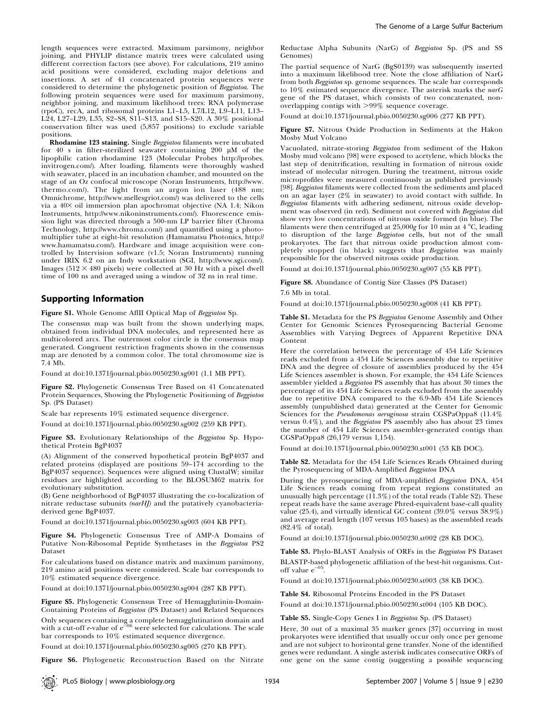length sequences were extracted. Maximum parsimony, neighbor joining, and PHYLIP distance matrix trees were calculated using different correction factors (see above). For calculations, 219 amino acid positions were considered, excluding major deletions and insertions. A set of 41 concatenated protein sequences were considered to determine the phylogenetic position of Beggiatoa. The following protein sequences were used for maximum parsimony, neighbor joining, and maximum likelihood trees: RNA polymerase (rpoC), recA, and ribosomal proteins L1–L5, L7/L12, L9–L11, L13– L24, L27–L29, L35, S2–S8, S11–S13, and S15–S20. A 30% positional conservation filter was used (5,857 positions) to exclude variable positions.

Rhodamine 123 staining. Single Beggiatoa filaments were incubated for 40 s in filter-sterilized seawater containing  $200 \mu M$  of the lipophilic cation rhodamine 123 (Molecular Probes http://probes. invitrogen.com/). After loading, filaments were thoroughly washed with seawater, placed in an incubation chamber, and mounted on the stage of an Oz confocal microscope (Noran Instruments, http://www. thermo.com/). The light from an argon ion laser (488 nm; Omnichrome, http://www.mellesgriot.com/) was delivered to the cells via a 403 oil immersion plan apochromat objective (NA 1.4; Nikon Instruments, http://www.nikoninstruments.com/). Fluorescence emission light was directed through a 500-nm LP barrier filter (Chroma Technology, http://www.chroma.com/) and quantified using a photomultiplier tube at eight-bit resolution (Hamamatsu Photonics, http:// www.hamamatsu.com/). Hardware and image acquisition were controlled by Intervision software (v1.5; Noran Instruments) running under IRIX 6.2 on an Indy workstation (SGI, http://www.sgi.com/). Images ( $512 \times 480$  pixels) were collected at 30 Hz with a pixel dwell time of 100 ns and averaged using a window of 32 ns in real time.

# Supporting Information

Figure S1. Whole Genome AflII Optical Map of Beggiatoa Sp.

The consensus map was built from the shown underlying maps, obtained from individual DNA molecules, and represented here as multicolored arcs. The outermost color circle is the consensus map generated. Congruent restriction fragments shown in the consensus map are denoted by a common color. The total chromosome size is 7.4 Mb.

Found at doi:10.1371/journal.pbio.0050230.sg001 (1.1 MB PPT).

Figure S2. Phylogenetic Consensus Tree Based on 41 Concatenated Protein Sequences, Showing the Phylogenetic Positioning of Beggiatoa Sp. (PS Dataset)

Scale bar represents 10% estimated sequence divergence.

Found at doi:10.1371/journal.pbio.0050230.sg002 (259 KB PPT).

Figure S3. Evolutionary Relationships of the Beggiatoa Sp. Hypothetical Protein BgP4037

(A) Alignment of the conserved hypothetical protein BgP4037 and related proteins (displayed are positions 59–174 according to the BgP4037 sequence). Sequences were aligned using ClustalW; similar residues are highlighted according to the BLOSUM62 matrix for evolutionary substitution.

(B) Gene neighborhood of BgP4037 illustrating the co-localization of nitrate reductase subunits (narHJ) and the putatively cyanobacteriaderived gene BgP4037.

Found at doi:10.1371/journal.pbio.0050230.sg003 (604 KB PPT).

Figure S4. Phylogenetic Consensus Tree of AMP-A Domains of Putative Non-Ribosomal Peptide Synthetases in the Beggiatoa PS2 Dataset

For calculations based on distance matrix and maximum parsimony, 219 amino acid positions were considered. Scale bar corresponds to 10% estimated sequence divergence.

Found at doi:10.1371/journal.pbio.0050230.sg004 (287 KB PPT).

Figure S5. Phylogenetic Consensus Tree of Hemagglutinin-Domain-Containing Proteins of Beggiatoa (PS Dataset) and Related Sequences

Only sequences containing a complete hemagglutination domain and<br>with a cut-off e-value of e<sup>=06</sup> were selected for calculations. The scale bar corresponds to 10% estimated sequence divergence.

Found at doi:10.1371/journal.pbio.0050230.sg005 (270 KB PPT).

Figure S6. Phylogenetic Reconstruction Based on the Nitrate

Reductase Alpha Subunits (NarG) of Beggiatoa Sp. (PS and SS Genomes)

The partial sequence of NarG (BgS0139) was subsequently inserted into a maximum likelihood tree. Note the close affiliation of NarG from both Beggiatoa sp. genome sequences. The scale bar corresponds to  $10\%$  estimated sequence divergence. The asterisk marks the narG gene of the PS dataset, which consists of two concatenated, nonoverlapping contigs with  $>99\%$  sequence coverage.

Found at doi:10.1371/journal.pbio.0050230.sg006 (277 KB PPT).

Figure S7. Nitrous Oxide Production in Sediments at the Hakon Mosby Mud Volcano

Vacuolated, nitrate-storing Beggiatoa from sediment of the Hakon Mosby mud volcano [98] were exposed to acetylene, which blocks the last step of denitrification, resulting in formation of nitrous oxide instead of molecular nitrogen. During the treatment, nitrous oxide microprofiles were measured continuously as published previously [98]. Beggiatoa filaments were collected from the sediments and placed on an agar layer (2% in seawater) to avoid contact with sulfide. In Beggiatoa filaments with adhering sediment, nitrous oxide development was observed (in red). Sediment not covered with Beggiatoa did show very low concentrations of nitrous oxide formed (in blue). The filaments were then centrifuged at  $25,000$ g for 10 min at 4 °C, leading to disruption of the large Beggiatoa cells, but not of the small prokaryotes. The fact that nitrous oxide production almost completely stopped (in black) suggests that Beggiatoa was mainly responsible for the observed nitrous oxide production.

Found at doi:10.1371/journal.pbio.0050230.sg007 (55 KB PPT).

Figure S8. Abundance of Contig Size Classes (PS Dataset)

7.6 Mb in total.

Found at doi:10.1371/journal.pbio.0050230.sg008 (41 KB PPT).

Table S1. Metadata for the PS Beggiatoa Genome Assembly and Other Center for Genomic Sciences Pyrosequencing Bacterial Genome Assemblies with Varying Degrees of Apparent Repetitive DNA Content

Here the correlation between the percentage of 454 Life Sciences reads excluded from a 454 Life Sciences assembly due to repetitive DNA and the degree of closure of assemblies produced by the 454 Life Sciences assembler is shown. For example, the 454 Life Sciences assembler yielded a Beggiatoa PS assembly that has about 30 times the percentage of its 454 Life Sciences reads excluded from the assembly due to repetitive DNA compared to the 6.9-Mb 454 Life Sciences assembly (unpublished data) generated at the Center for Genomic Sciences for the *Pseudomonas aeruginosa* strain CGSPaOppa8 (11.4%) versus  $0.4\%$ ), and the *Beggiatoa* PS assembly also has about 23 times the number of 454 Life Sciences assembler-generated contigs than CGSPaOppa8 (26,179 versus 1,154).

Found at doi:10.1371/journal.pbio.0050230.st001 (53 KB DOC).

Table S2. Metadata for the 454 Life Sciences Reads Obtained during the Pyrosequencing of MDA-Amplified Beggiatoa DNA

During the pyrosequencing of MDA-amplified Beggiatoa DNA, 454 Life Sciences reads coming from repeat regions constituted an unusually high percentage (11.3%) of the total reads (Table S2). These repeat reads have the same average Phred-equivalent base-call quality value (25.4), and virtually identical GC content (39.0% versus 38.9%) and average read length (107 versus 105 bases) as the assembled reads (82.4% of total).

Found at doi:10.1371/journal.pbio.0050230.st002 (28 KB DOC).

Table S3. Phylo-BLAST Analysis of ORFs in the Beggiatoa PS Dataset BLASTP-based phylogenetic affiliation of the best-hit organisms. Cutoff value  $e^{-0.5}$ .

Found at doi:10.1371/journal.pbio.0050230.st003 (38 KB DOC).

Table S4. Ribosomal Proteins Encoded in the PS Dataset

Found at doi:10.1371/journal.pbio.0050230.st004 (105 KB DOC).

Table S5. Single-Copy Genes I in Beggiatoa Sp. (PS Dataset)

Here, 30 out of a maximal 35 marker genes [37] occurring in most prokaryotes were identified that usually occur only once per genome and are not subject to horizontal gene transfer. None of the identified genes were redundant. A single asterisk indicates consecutive ORFs of one gene on the same contig (suggesting a possible sequencing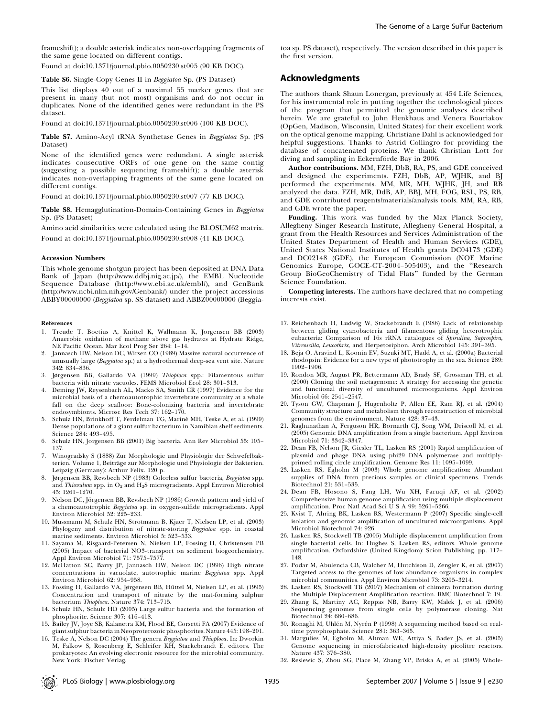frameshift); a double asterisk indicates non-overlapping fragments of the same gene located on different contigs.

Found at doi:10.1371/journal.pbio.0050230.st005 (90 KB DOC).

#### Table S6. Single-Copy Genes II in Beggiatoa Sp. (PS Dataset)

This list displays 40 out of a maximal 55 marker genes that are present in many (but not most) organisms and do not occur in duplicates. None of the identified genes were redundant in the PS dataset.

Found at doi:10.1371/journal.pbio.0050230.st006 (100 KB DOC).

Table S7. Amino-Acyl tRNA Synthetase Genes in Beggiatoa Sp. (PS Dataset)

None of the identified genes were redundant. A single asterisk indicates consecutive ORFs of one gene on the same contig (suggesting a possible sequencing frameshift); a double asterisk indicates non-overlapping fragments of the same gene located on different contigs.

Found at doi:10.1371/journal.pbio.0050230.st007 (77 KB DOC).

Table S8. Hemagglutination-Domain-Containing Genes in Beggiatoa Sp. (PS Dataset)

Amino acid similarities were calculated using the BLOSUM62 matrix. Found at doi:10.1371/journal.pbio.0050230.st008 (41 KB DOC).

#### Accession Numbers

This whole genome shotgun project has been deposited at DNA Data Bank of Japan (http://www.ddbj.nig.ac.jp/), the EMBL Nucleotide Sequence Database (http://www.ebi.ac.uk/embl/), and GenBank (http://www.ncbi.nlm.nih.gov/Genbank/) under the project accessions ABBY00000000 (Beggiatoa sp. SS dataset) and ABBZ00000000 (Beggia-

#### References

- 1. Treude T, Boetius A, Knittel K, Wallmann K, Jorgensen BB (2003) Anaerobic oxidation of methane above gas hydrates at Hydrate Ridge, NE Pacific Ocean. Mar Ecol Prog Ser 264: 1–14.
- Jannasch HW, Nelson DC, Wirsen CO (1989) Massive natural occurrence of unusually large (Beggiatoa sp.) at a hydrothermal deep-sea vent site. Nature 342: 834–836.
- 3. Jørgensen BB, Gallardo VA (1999) Thioploca spp.: Filamentous sulfur bacteria with nitrate vacuoles. FEMS Microbiol Ecol 28: 301–313.
- 4. Deming JW, Reysenbach AL, Macko SA, Smith CR (1997) Evidence for the microbial basis of a chemoautotrophic invertebrate community at a whale fall on the deep seafloor: Bone-colonizing bacteria and invertebrate endosymbionts. Microsc Res Tech 37: 162–170.
- 5. Schulz HN, Brinkhoff T, Ferdelman TG, Mariné MH, Teske A, et al. (1999) Dense populations of a giant sulfur bacterium in Namibian shelf sediments. Science 284: 493–495.
- 6. Schulz HN, Jorgensen BB (2001) Big bacteria. Ann Rev Microbiol 55: 105– 137.
- 7. Winogradsky S (1888) Zur Morphologie und Physiologie der Schwefelbakterien. Volume 1, Beiträge zur Morphologie und Physiologie der Bakterien. Leipzig (Germany): Arthur Felix. 120 p.
- 8. Jørgensen BB, Revsbech NP (1983) Colorless sulfur bacteria, Beggiatoa spp. and Thiovulum spp. in  $O_2$  and  $H_2S$  microgradients. Appl Environ Microbiol 45: 1261–1270.
- Nelson DC, Jörgensen BB, Revsbech NP (1986) Growth pattern and yield of a chemoautotrophic Beggiatoa sp. in oxygen-sulfide microgradients. Appl Environ Microbiol 52: 225–233.
- 10. Mussmann M, Schulz HN, Strotmann B, Kjaer T, Nielsen LP, et al. (2003) Phylogeny and distribution of nitrate-storing Beggiatoa spp. in coastal marine sediments. Environ Microbiol 5: 523–533.
- 11. Sayama M, Risgaard-Petersen N, Nielsen LP, Fossing H, Christensen PB (2005) Impact of bacterial NO3-transport on sediment biogeochemistry. Appl Environ Microbiol 71: 7575–7577.
- 12. McHatton SC, Barry JP, Jannasch HW, Nelson DC (1996) High nitrate concentrations in vacuolate, autotrophic marine Beggiatoa spp. Appl Environ Microbiol 62: 954–958.
- 13. Fossing H, Gallardo VA, Jørgensen BB, Hüttel M, Nielsen LP, et al. (1995) Concentration and transport of nitrate by the mat-forming sulphur bacterium Thioploca. Nature 374: 713–715.
- 14. Schulz HN, Schulz HD (2005) Large sulfur bacteria and the formation of phosphorite. Science 307: 416–418.
- 15. Bailey JV, Joye SB, Kalanetra KM, Flood BE, Corsetti FA (2007) Evidence of giant sulphur bacteria in Neoproterozoic phosphorites. Nature 445: 198–201.
- 16. Teske A, Nelson DC (2004) The genera Beggiatoa and Thioploca. In: Dworkin M, Falkow S, Rosenberg E, Schleifer KH, Stackebrandt E, editors. The prokaryotes: An evolving electronic resource for the microbial community. New York: Fischer Verlag.

toa sp. PS dataset), respectively. The version described in this paper is the first version.

## Acknowledgments

The authors thank Shaun Lonergan, previously at 454 Life Sciences, for his instrumental role in putting together the technological pieces of the program that permitted the genomic analyses described herein. We are grateful to John Henkhaus and Venera Bouriakov (OpGen, Madison, Wisconsin, United States) for their excellent work on the optical genome mapping. Christiane Dahl is acknowledged for helpful suggestions. Thanks to Astrid Collingro for providing the database of concatenated proteins. We thank Christian Lott for diving and sampling in Eckernförde Bay in 2006.

Author contributions. MM, FZH, DbB, RA, PS, and GDE conceived and designed the experiments. FZH, DbB, AP, WJHK, and BJ performed the experiments. MM, MR, MH, WJHK, JH, and RB analyzed the data. FZH, MR, DdB, AP, BBJ, MH, FOG, RSL, PS, RB, and GDE contributed reagents/materials/analysis tools. MM, RA, RB, and GDE wrote the paper.

Funding. This work was funded by the Max Planck Society, Allegheny Singer Research Institute, Allegheny General Hospital, a grant from the Health Resources and Services Administration of the United States Department of Health and Human Services (GDE), United States National Institutes of Health grants DC04173 (GDE) and DC02148 (GDE), the European Commission (NOE Marine Genomics Europe, GOCE-CT-2004–505403), and the ''Research Group BioGeoChemistry of Tidal Flats'' funded by the German Science Foundation.

Competing interests. The authors have declared that no competing interests exist.

- 17. Reichenbach H, Ludwig W, Stackebrandt E (1986) Lack of relationship between gliding cyanobacteria and filamentous gliding heterotrophic eubacteria: Comparison of 16s rRNA catalogues of Spirulina, Saprospira, Vitreoscilla, Leucothrix, and Herpetosiphon. Arch Microbiol 145: 391–395.
- 18. Beja O, Aravind L, Koonin EV, Suzuki MT, Hadd A, et al. (2000a) Bacterial rhodopsin: Evidence for a new type of phototrophy in the sea. Science 289: 1902–1906.
- 19. Rondon MR, August PR, Bettermann AD, Brady SF, Grossman TH, et al. (2000) Cloning the soil metagenome: A strategy for accessing the genetic and functional diversity of uncultured microorganisms. Appl Environ Microbiol 66: 2541–2547.
- 20. Tyson GW, Chapman J, Hugenholtz P, Allen EE, Ram RJ, et al. (2004) Community structure and metabolism through reconstruction of microbial genomes from the environment. Nature 428: 37–43.
- 21. Raghunathan A, Ferguson HR, Bornarth CJ, Song WM, Driscoll M, et al. (2005) Genomic DNA amplification from a single bacterium. Appl Environ Microbiol 71: 3342–3347.
- 22. Dean FB, Nelson JR, Giesler TL, Lasken RS (2001) Rapid amplification of plasmid and phage DNA using phi29 DNA polymerase and multiplyprimed rolling circle amplification. Genome Res 11: 1095–1099.
- 23. Lasken RS, Egholm M (2003) Whole genome amplification: Abundant supplies of DNA from precious samples or clinical specimens. Trends Biotechnol 21: 531–535.
- 24. Dean FB, Hosono S, Fang LH, Wu XH, Faruqi AF, et al. (2002) Comprehensive human genome amplification using multiple displacement amplification. Proc Natl Acad Sci U S A 99: 5261–5266.
- 25. Kvist T, Ahring BK, Lasken RS, Westermann P (2007) Specific single-cell isolation and genomic amplification of uncultured microorganisms. Appl Microbiol Biotechnol 74: 926.
- 26. Lasken RS, Stockwell TB (2005) Multiple displacement amplification from single bacterial cells. In: Hughes S, Lasken RS, editors. Whole genome amplification. Oxfordshire (United Kingdom): Scion Publishing. pp. 117– 148.
- 27. Podar M, Abulencia CB, Walcher M, Hutchison D, Zengler K, et al. (2007) Targeted access to the genomes of low abundance organisms in complex microbial communities. Appl Environ Microbiol 73: 3205–3214.
- 28. Lasken RS, Stockwell TB (2007) Mechanism of chimera formation during the Multiple Displacement Amplification reaction. BMC Biotechnol 7: 19.
- 29. Zhang K, Martiny AC, Reppas NB, Barry KW, Malek J, et al. (2006) Sequencing genomes from single cells by polymerase cloning. Nat Biotechnol 24: 680–686.
- 30. Ronaghi M, Uhlén M, Nyrén P (1998) A sequencing method based on realtime pyrophosphate. Science 281: 363–365.
- 31. Margulies M, Egholm M, Altman WE, Attiya S, Bader JS, et al. (2005) Genome sequencing in microfabricated high-density picolitre reactors. Nature 437: 376–380.
- 32. Reslewic S, Zhou SG, Place M, Zhang YP, Briska A, et al. (2005) Whole-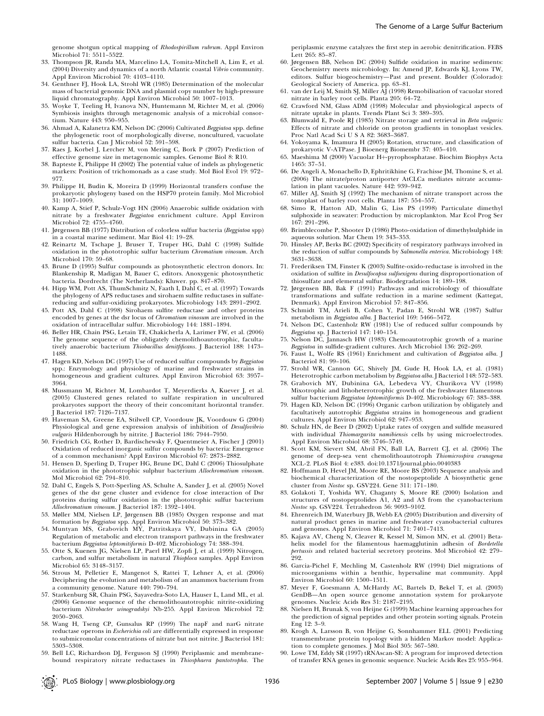genome shotgun optical mapping of Rhodospirillum rubrum. Appl Environ Microbiol 71: 5511–5522.

- 33. Thompson JR, Randa MA, Marcelino LA, Tomita-Mitchell A, Lim E, et al. (2004) Diversity and dynamics of a north Atlantic coastal Vibrio community. Appl Environ Microbiol 70: 4103–4110.
- 34. Genthner FJ, Hook LA, Strohl WR (1985) Determination of the molecular mass of bacterial genomic DNA and plasmid copy number by high-pressure liquid chromatography. Appl Environ Microbiol 50: 1007–1013.
- 35. Woyke T, Teeling H, Ivanova NN, Huntemann M, Richter M, et al. (2006) Symbiosis insights through metagenomic analysis of a microbial consortium. Nature 443: 950–955.
- 36. Ahmad A, Kalanetra KM, Nelson DC (2006) Cultivated Beggiatoa spp. define the phylogenetic root of morphologically diverse, noncultured, vacuolate sulfur bacteria. Can J Microbiol 52: 591–598.
- 37. Raes J, Korbel J, Lercher M, von Mering C, Bork P (2007) Prediction of effective genome size in metagenomic samples. Genome Biol 8: R10.
- 38. Bapteste E, Philippe H (2002) The potential value of indels as phylogenetic markers: Position of trichomonads as a case study. Mol Biol Evol 19: 972–
- 977. 39. Philippe H, Budin K, Moreira D (1999) Horizontal transfers confuse the prokaryotic phylogeny based on the HSP70 protein family. Mol Microbiol 31: 1007–1009.
- 40. Kamp A, Stief P, Schulz-Vogt HN (2006) Anaerobic sulfide oxidation with nitrate by a freshwater Beggiatoa enrichment culture. Appl Environ Microbiol 72: 4755–4760.
- 41. Jørgensen BB (1977) Distribution of colorless sulfur bacteria (Beggiatoa spp) in a coastal marine sediment. Mar Biol 41: 19–28.
- 42. Reinartz M, Tschape J, Bruser T, Truper HG, Dahl C (1998) Sulfide oxidation in the phototrophic sulfur bacterium Chromatium vinosum. Arch Microbiol 170: 59–68.
- 43. Brune D (1995) Sulfur compounds as photosynthetic electron donors. In: Blankenship R, Madigan M, Bauer C, editors. Anoxygenic photosynthetic bacteria. Dordrecht (The Netherlands): Kluwer. pp. 847–870.
- 44. Hipp WM, Pott AS, ThumSchmitz N, Faath I, Dahl C, et al. (1997) Towards the phylogeny of APS reductases and sirohaem sulfite reductases in sulfatereducing and sulfur-oxidizing prokaryotes. Microbiology 143: 2891–2902.
- 45. Pott AS, Dahl C (1998) Sirohaem sulfite reductase and other proteins encoded by genes at the dsr locus of Chromatium vinosum are involved in the oxidation of intracellular sulfur. Microbiology 144: 1881–1894.
- 46. Beller HR, Chain PSG, Letain TE, Chakicherla A, Larimer FW, et al. (2006) The genome sequence of the obligately chemolithoautotrophic, facultatively anaerobic bacterium Thiobacillus denitfificans. J Bacteriol 188: 1473– 1488.
- 47. Hagen KD, Nelson DC (1997) Use of reduced sulfur compounds by Beggiatoa spp.: Enzymology and physiology of marine and freshwater strains in homogeneous and gradient cultures. Appl Environ Microbiol 63: 3957– 3964.
- 48. Mussmann M, Richter M, Lombardot T, Meyerdierks A, Kuever J, et al. (2005) Clustered genes related to sulfate respiration in uncultured prokaryotes support the theory of their concomitant horizontal transfer. J Bacteriol 187: 7126–7137.
- 49. Haveman SA, Greene EA, Stilwell CP, Voordouw JK, Voordouw G (2004) Physiological and gene expression analysis of inhibition of Desulfovibrio vulgaris Hildenborough by nitrite. J Bacteriol 186: 7944–7950.
- 50. Friedrich CG, Rother D, Bardischewsky F, Quentmeier A, Fischer J (2001) Oxidation of reduced inorganic sulfur compounds by bacteria: Emergence of a common mechanism? Appl Environ Microbiol 67: 2873–2882.
- 51. Hensen D, Sperling D, Truper HG, Brune DC, Dahl C (2006) Thiosulphate oxidation in the phototrophic sulphur bacterium Allochromatium vinosum. Mol Microbiol 62: 794–810.
- 52. Dahl C, Engels S, Pott-Sperling AS, Schulte A, Sander J, et al. (2005) Novel genes of the dsr gene cluster and evidence for close interaction of Dsr proteins during sulfur oxidation in the phototrophic sulfur bacterium Allochromatium vinosum. J Bacteriol 187: 1392–1404.
- 53. Møller MM, Nielsen LP, Jørgensen BB (1985) Oxygen response and mat formation by Beggiatoa spp. Appl Environ Microbiol 50: 373–382.
- 54. Muntyan MS, Grabovich MY, Patritskaya VY, Dubinina GA (2005) Regulation of metabolic and electron transport pathways in the freshwater bacterium Beggiatoa leptomitiformis D-402. Microbiology 74: 388–394.
- 55. Otte S, Kuenen JG, Nielsen LP, Paerl HW, Zopfi J, et al. (1999) Nitrogen, carbon, and sulfur metabolism in natural Thioploca samples. Appl Environ Microbiol 65: 3148–3157.
- 56. Strous M, Pelletier E, Mangenot S, Rattei T, Lehner A, et al. (2006) Deciphering the evolution and metabolism of an anammox bacterium from a community genome. Nature 440: 790–794.
- 57. Starkenburg SR, Chain PSG, Sayavedra-Soto LA, Hauser L, Land ML, et al. (2006) Genome sequence of the chemolithoautotrophic nitrite-oxidizing bacterium Nitrobacter winogradskyi Nb-255. Appl Environ Microbiol 72: 2050–2063.
- 58. Wang H, Tseng CP, Gunsalus RP (1999) The napF and narG nitrate reductase operons in Escherichia coli are differentially expressed in response to submicromolar concentrations of nitrate but not nitrite. J Bacteriol 181: 5303–5308.
- 59. Bell LC, Richardson DJ, Ferguson SJ (1990) Periplasmic and membranebound respiratory nitrate reductases in Thiosphaera pantotropha. The

periplasmic enzyme catalyzes the first step in aerobic denitrification. FEBS Lett 265: 85–87.

- 60. Jørgensen BB, Nelson DC (2004) Sulfide oxidation in marine sediments: Geochemistry meets microbiology. In: Amend JP, Edwards KJ, Lyons TW, editors. Sulfur biogeochemistry—Past and present. Boulder (Colorado): Geological Society of America. pp. 63–81.
- 61. van der Leij M, Smith SJ, Miller $\rm \dot{A}\dot{J}$  (1998) Remobilisation of vacuolar stored nitrate in barley root cells. Planta 205: 64–72.
- 62. Crawford NM, Glass ADM (1998) Molecular and physiological aspects of nitrate uptake in plants. Trends Plant Sci 3: 389–395.
- 63. Blumwald E, Poole RJ (1985) Nitrate storage and retrieval in Beta vulgaris: Effects of nitrate and chloride on proton gradients in tonoplast vesicles. Proc Natl Acad Sci U S A 82: 3683–3687.
- 64. Yokoyama K, Imamura H (2005) Rotation, structure, and classification of prokaryotic V-ATPase. J Bioenerg Biomembr 37: 405–410.
- 65. Maeshima M (2000) Vacuolar H+pyrophosphatase. Biochim Biophys Acta 1465: 37–51.
- 66. De Angeli A, Monachello D, Ephritikhine G, Frachisse JM, Thomine S, et al. (2006) The nitrate/proton antiporter AtCLCa mediates nitrate accumulation in plant vacuoles. Nature 442: 939–942.
- 67. Miller AJ, Smith SJ (1992) The mechanism of nitrate transport across the
- tonoplast of barley root cells. Planta 187: 554–557. 68. Simo R, Hatton AD, Malin G, Liss PS (1998) Particulate dimethyl sulphoxide in seawater: Production by microplankton. Mar Ecol Prog Ser 167: 291–296.
- 69. Brimblecombe P, Shooter D (1986) Photo-oxidation of dimethylsulphide in aqueous solution. Mar Chem 19: 343–353.
- 70. Hinsley AP, Berks BC (2002) Specificity of respiratory pathways involved in the reduction of sulfur compounds by Salmonella enterica. Microbiology 148: 3631–3638.
- 71. Frederiksen TM, Finster K (2003) Sulfite-oxido-reductase is involved in the oxidation of sulfite in Desulfocapsa sulfoexigens during disproportionation of thiosulfate and elemental sulfur. Biodegradation 14: 189–198.
- 72. Jørgensen BB, Bak F (1991) Pathways and microbiology of thiosulfate transformations and sulfate reduction in a marine sediment (Kattegat,
- Denmark). Appl Environ Microbiol 57: 847–856. 73. Schmidt TM, Arieli B, Cohen Y, Padan E, Strohl WR (1987) Sulfur metabolism in Beggiatoa alba. J Bacteriol 169: 5466–5472.
- 74. Nelson DC, Castenholz RW (1981) Use of reduced sulfur compounds by Beggiatoa sp. J Bacteriol 147: 140–154.
- 75. Nelson DC, Jannasch HW (1983) Chemoautotrophic growth of a marine Beggiatoa in sulfide-gradient cultures. Arch Microbiol 136: 262–269.
- 76. Faust L, Wolfe RS (1961) Enrichment and cultivation of Beggiatoa alba. J Bacteriol 81: 99–106.
- 77. Strohl WR, Cannon GC, Shively JM, Gude H, Hook LA, et al. (1981) Heterotrophic carbon metabolism by Beggiatoa alba. J Bacteriol 148: 572–583.
- 78. Grabovich MY, Dubinina GA, Lebedeva VY, Churikova VV (1998) Mixotrophic and lithoheterotrophic growth of the freshwater filamentous sulfur bacterium Beggiatoa leptomitiformis D-402. Microbiology 67: 383–388.
- 79. Hagen KD, Nelson DC (1996) Organic carbon utilization by obligately and facultatively autotrophic Beggiatoa strains in homogeneous and gradient cultures. Appl Environ Microbiol 62: 947–953.
- 80. Schulz HN, de Beer D (2002) Uptake rates of oxygen and sulfide measured with individual Thiomargarita namibiensis cells by using microelectrodes. Appl Environ Microbiol 68: 5746–5749.
- 81. Scott KM, Sievert SM, Abril FN, Ball LA, Barrett CJ, et al. (2006) The genome of deep-sea vent chemolithoautotroph Thiomicrospira crunogena XCL-2. PLoS Biol 4: e383. doi:10.1371/journal.pbio.0040383
- 82. Hoffmann D, Hevel JM, Moore RE, Moore BS (2003) Sequence analysis and biochemical characterization of the nostopeptolide A biosynthetic gene cluster from Nostoc sp. GSV224. Gene 311: 171–180.
- 83. Golakoti T, Yoshida WY, Chaganty S, Moore RE (2000) Isolation and structures of nostopeptolides A1, A2 and A3 from the cyanobacterium Nostoc sp. GSV224. Tetrahedron 56: 9093–9102.
- 84. Ehrenreich IM, Waterbury JB, Webb EA (2005) Distribution and diversity of natural product genes in marine and freshwater cyanobacterial cultures and genomes. Appl Environ Microbiol 71: 7401–7413.
- 85. Kajava AV, Cheng N, Cleaver R, Kessel M, Simon MN, et al. (2001) Betahelix model for the filamentous haemagglutinin adhesin of Bordetella pertussis and related bacterial secretory proteins. Mol Microbiol 42: 279– .<br>292.
- 86. Garcia-Pichel F, Mechling M, Castenholz RW (1994) Diel migrations of microorganisms within a benthic, hypersaline mat community. Appl Environ Microbiol 60: 1500–1511.
- 87. Meyer F, Goesmann A, McHardy AC, Bartels D, Bekel T, et al. (2003) GenDB—An open source genome annotation system for prokaryote genomes. Nucleic Acids Res 31: 2187–2195.
- 88. Nielsen H, Brunak S, von Heijne G (1999) Machine learning approaches for the prediction of signal peptides and other protein sorting signals. Protein Eng 12: 3–9.
- 89. Krogh A, Larsson B, von Heijne G, Sonnhammer ELL (2001) Predicting transmembrane protein topology with a hidden Markov model: Application to complete genomes. J Mol Biol 305: 567–580.
- 90. Lowe TM, Eddy SR (1997) tRNAscan-SE: A program for improved detection of transfer RNA genes in genomic sequence. Nucleic Acids Res 25: 955–964.